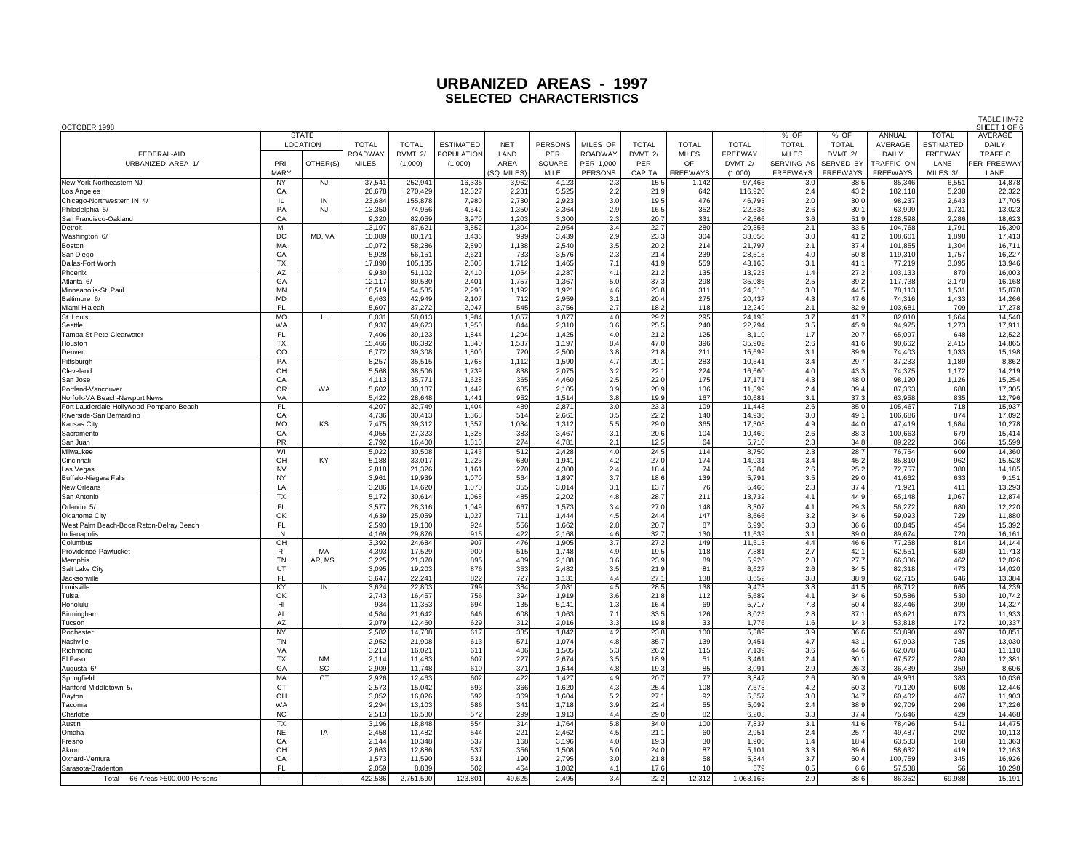| OCTOBER 1998                            |                                 |                 |                                |                  |                   |                |                |                      |                |                    |                           |                            |                      |                     |                  | TABLE HM-72<br>SHEET 1 OF 6 |
|-----------------------------------------|---------------------------------|-----------------|--------------------------------|------------------|-------------------|----------------|----------------|----------------------|----------------|--------------------|---------------------------|----------------------------|----------------------|---------------------|------------------|-----------------------------|
|                                         | <b>STATE</b><br><b>LOCATION</b> |                 |                                |                  |                   |                |                |                      |                |                    |                           | % OF                       | % OF                 | ANNUAL              | <b>TOTAL</b>     | AVERAGE                     |
|                                         |                                 |                 | <b>TOTAL</b>                   | <b>TOTAL</b>     | <b>ESTIMATED</b>  | <b>NET</b>     | <b>PERSONS</b> | MILES OF             | <b>TOTAL</b>   | <b>TOTAL</b>       | <b>TOTAL</b>              | <b>TOTAL</b>               | <b>TOTAL</b>         | AVERAGE             | <b>ESTIMATED</b> | DAILY                       |
| FEDERAL-AID<br>URBANIZED AREA 1/        | PRI-                            | OTHER(S)        | <b>ROADWAY</b><br><b>MILES</b> | DVMT 2/          | <b>POPULATION</b> | LAND<br>AREA   | PER<br>SQUARE  | ROADWAY<br>PER 1,000 | DVMT 2/<br>PER | <b>MILES</b><br>OF | <b>FREEWAY</b><br>DVMT 2/ | <b>MILES</b><br>SERVING AS | DVMT 2/<br>SERVED BY | DAILY<br>TRAFFIC ON | FREEWAY<br>LANE  | TRAFFIC<br>PER FREEWAY      |
|                                         | MARY                            |                 |                                | (1,000)          | (1,000)           | (SQ. MILES)    | MILE           | PERSONS              | CAPITA         | FREEWAYS           | (1,000)                   | FREEWAYS                   | <b>FREEWAYS</b>      | FREEWAYS            | MILES 3/         | LANE                        |
| New York-Northeastern NJ                | NY                              | <b>NJ</b>       | 37,541                         | 252,941          | 16,335            | 3,962          | 4,123          | 2.3                  | 15.5           | 1,142              | 97,465                    | 3.0                        | 38.5                 | 85,346              | 6,551            | 14,878                      |
| Los Angeles                             | CA                              |                 | 26,678                         | 270,429          | 12,327            | 2,231          | 5,525          | 2.2                  | 21.9           | 642                | 116,920                   | 2.4                        | 43.2                 | 182,118             | 5,238            | 22,322                      |
| Chicago-Northwestern IN 4/              | IL                              | IN              | 23,684                         | 155,878          | 7,980             | 2,730          | 2,923          | 3.0                  | 19.5           | 476                | 46,793                    | 2.0                        | 30.0                 | 98,237              | 2,643            | 17,705                      |
| Philadelphia 5/                         | PA                              | <b>NJ</b>       | 13,350                         | 74,956           | 4,542             | 1,350          | 3,364          | 2.9                  | 16.5           | 352                | 22,538                    | 2.6                        | 30.1                 | 63,999              | 1,731            | 13,023                      |
| San Francisco-Oakland<br>Detroit        | CA<br>MI                        |                 | 9,320<br>13,197                | 82,059<br>87,621 | 3,970<br>3,852    | 1,203<br>1,304 | 3,300<br>2,954 | 2.3<br>3.4           | 20.7<br>22.7   | 331<br>280         | 42,566<br>29,356          | 3.6<br>2.1                 | 51.9<br>33.5         | 128,598<br>104,768  | 2,286<br>1,791   | 18,623<br>16,390            |
| Washington 6/                           | DC                              | MD, VA          | 10,089                         | 80,171           | 3,436             | 999            | 3,439          | 2.9                  | 23.3           | 304                | 33,056                    | 3.0                        | 41.2                 | 108,601             | 1,898            | 17,413                      |
| Boston                                  | MA                              |                 | 10,072                         | 58,286           | 2,890             | 1,138          | 2,540          | 3.5                  | 20.2           | 214                | 21,797                    | 2.1                        | 37.4                 | 101,855             | 1,304            | 16,711                      |
| San Diego                               | CA                              |                 | 5,928                          | 56,151           | 2,621             | 733            | 3,576          | 2.3                  | 21.4           | 239                | 28.515                    | 4.0                        | 50.8                 | 119,310             | 1.757            | 16,227                      |
| Dallas-Fort Worth                       | TX                              |                 | 17,890                         | 105,135          | 2,508             | 1,712          | 1,465          | 7.1                  | 41.9           | 559                | 43,163                    | 3.1                        | 41.1                 | 77,219              | 3,095            | 13,946                      |
| Phoenix<br>Atlanta 6/                   | AZ<br>GA                        |                 | 9,930<br>12.117                | 51,102<br>89,530 | 2,410<br>2.401    | 1,054<br>1,757 | 2,287<br>1.367 | 4.1<br>5.0           | 21.2<br>37.3   | 135<br>298         | 13,923<br>35.086          | 1.4<br>2.5                 | 27.2<br>39.2         | 103,133<br>117,738  | 870<br>2,170     | 16,003<br>16.168            |
| Minneapolis-St. Paul                    | <b>MN</b>                       |                 | 10,519                         | 54,585           | 2,290             | 1,192          | 1,921          | 4.6                  | 23.8           | 311                | 24,315                    | 3.0                        | 44.5                 | 78,113              | 1,531            | 15,878                      |
| Baltimore 6/                            | <b>MD</b>                       |                 | 6,463                          | 42,949           | 2,107             | 712            | 2,959          | 3.1                  | 20.4           | 275                | 20,437                    | 4.3                        | 47.6                 | 74,316              | 1,433            | 14,266                      |
| Miami-Hialeal                           | <b>FL</b>                       |                 | 5,607                          | 37,272           | 2,047             | 545            | 3,756          | 2.7                  | 18.2           | 118                | 12,249                    | 2.1                        | 32.9                 | 103,681             | 709              | 17,278                      |
| St. Louis                               | <b>MO</b>                       | IL              | 8,031                          | 58,013           | 1,984             | 1,057          | 1,877          | 4.0                  | 29.2           | 295                | 24,193                    | 3.7                        | 41.7                 | 82,010              | 1,664            | 14,540                      |
| Seattle<br>Tampa-St Pete-Clearwater     | WA<br>FL                        |                 | 6,937<br>7,406                 | 49,673<br>39,123 | 1,950<br>1,844    | 844<br>1,294   | 2,310<br>1,425 | 3.6<br>4.0           | 25.5<br>21.2   | 240<br>125         | 22,794<br>8,110           | 3.5<br>1.7                 | 45.9<br>20.7         | 94,975<br>65,097    | 1,273<br>648     | 17,911<br>12,522            |
| Houston                                 | <b>TX</b>                       |                 | 15,466                         | 86,392           | 1,840             | 1,537          | 1,197          | 8.4                  | 47.0           | 396                | 35,902                    | 2.6                        | 41.6                 | 90,662              | 2,415            | 14,865                      |
| Denver                                  | CO                              |                 | 6,772                          | 39,308           | 1,800             | 720            | 2,500          | 3.8                  | 21.8           | 211                | 15,699                    | 3.1                        | 39.9                 | 74,403              | 1,033            | 15,198                      |
| Pittsburgh                              | PA                              |                 | 8,257                          | 35,515           | 1,768             | 1,112          | 1,590          | 4.7                  | 20.1           | 283                | 10,541                    | 3.4                        | 29.7                 | 37,233              | 1,189            | 8,862                       |
| Cleveland                               | OH                              |                 | 5,568                          | 38,506           | 1,739             | 838            | 2,075          | 3.2                  | 22.1           | 224                | 16,660                    | 4.0                        | 43.3                 | 74,375              | 1,172            | 14,219                      |
| <b>San Jose</b><br>Portland-Vancouver   | CA<br><b>OR</b>                 | <b>WA</b>       | 4,113                          | 35.771           | 1,628             | 365            | 4.460          | 2.5                  | 22.0           | 175                | 17.171                    | 4.3                        | 48.0                 | 98.120              | 1,126            | 15,254                      |
| Norfolk-VA Beach-Newport News           | VA                              |                 | 5,602<br>5,422                 | 30,187<br>28,648 | 1,442<br>1.441    | 685<br>952     | 2,105<br>1,514 | 3.9<br>3.8           | 20.9<br>19.9   | 136<br>167         | 11,899<br>10,681          | 2.4<br>3.1                 | 39.4<br>37.3         | 87,363<br>63,958    | 688<br>835       | 17,305<br>12,796            |
| Fort Lauderdale-Hollywood-Pompano Beach | <b>FL</b>                       |                 | 4,207                          | 32,749           | 1.404             | 489            | 2,871          | 3.0                  | 23.3           | 109                | 11.448                    | 2.6                        | 35.0                 | 105,467             | 718              | 15,937                      |
| Riverside-San Bernardino                | CA                              |                 | 4,736                          | 30,413           | 1,368             | 514            | 2,661          | 3.5                  | 22.2           | 140                | 14,936                    | 3.0                        | 49.1                 | 106,686             | 874              | 17,092                      |
| Kansas City                             | <b>MO</b>                       | KS              | 7,475                          | 39,312           | 1,357             | 1,034          | 1,312          | 5.5                  | 29.0           | 365                | 17,308                    | 4.9                        | 44.0                 | 47,419              | 1,684            | 10,278                      |
| Sacramento                              | CA                              |                 | 4,055                          | 27,323           | 1,328             | 383<br>274     | 3.467          | 3.1                  | 20.6           | 104                | 10,469                    | 2.6                        | 38.3                 | 100,663             | 679              | 15,414                      |
| San Juan<br>Milwaukee                   | PR<br>WI                        |                 | 2,792<br>5,022                 | 16,400<br>30,508 | 1,310<br>1,243    | 512            | 4,781<br>2,428 | 2.1<br>4.0           | 12.5<br>24.5   | 64<br>114          | 5,710<br>8,750            | 2.3<br>2.3                 | 34.8<br>28.7         | 89,222<br>76,754    | 366<br>609       | 15,599<br>14,360            |
| Cincinnati                              | OH                              | KY              | 5,188                          | 33,017           | 1,223             | 630            | 1,941          | 4.2                  | 27.0           | 174                | 14,931                    | 3.4                        | 45.2                 | 85,810              | 962              | 15,528                      |
| Las Vegas                               | <b>NV</b>                       |                 | 2,818                          | 21,326           | 1.161             | 270            | 4.300          | 2.4                  | 18.4           | 74                 | 5.384                     | 2.6                        | 25.2                 | 72,757              | 380              | 14.185                      |
| Buffalo-Niagara Falls                   | <b>NY</b>                       |                 | 3,961                          | 19,939           | 1,070             | 564            | 1,897          | 3.7                  | 18.6           | 139                | 5,791                     | 3.5                        | 29.0                 | 41,662              | 633              | 9,151                       |
| New Orleans                             | LA                              |                 | 3,286                          | 14,620           | 1,070             | 355            | 3,014          | 3.1                  | 13.7           | 76                 | 5,466                     | 2.3                        | 37.4                 | 71,921              | 411              | 13,293                      |
| San Antonio<br>Orlando 5/               | TX<br>FL.                       |                 | 5,172<br>3,577                 | 30,614<br>28,316 | 1,068<br>1,049    | 485<br>667     | 2,202<br>1,573 | 4.8<br>3.4           | 28.7<br>27.0   | 211<br>148         | 13,732<br>8,307           | 4.1<br>4.1                 | 44.9<br>29.3         | 65,148<br>56,272    | 1,067<br>680     | 12,874<br>12,220            |
| Oklahoma Citv                           | OK                              |                 | 4.639                          | 25.059           | 1.027             | 711            | 1.444          | 4.5                  | 24.4           | 147                | 8.666                     | 3.2                        | 34.6                 | 59.093              | 729              | 11,880                      |
| West Palm Beach-Boca Raton-Delrav Beach | FL.                             |                 | 2.593                          | 19,100           | 924               | 556            | 1.662          | 2.8                  | 20.7           | 87                 | 6.996                     | 3.3                        | 36.6                 | 80.845              | 454              | 15,392                      |
| Indianapolis                            | IN                              |                 | 4,169                          | 29,876           | 915               | 422            | 2,168          | 4.6                  | 32.7           | 130                | 11,639                    | 3.1                        | 39.0                 | 89,674              | 720              | 16,161                      |
| Columbus                                | OH                              |                 | 3,392                          | 24,684           | 907               | 476            | 1,905          | 3.7                  | 27.2           | 149                | 11,513                    | 4.4                        | 46.6                 | 77,268              | 814              | 14,144                      |
| Providence-Pawtucket<br>Memphis         | R1<br>TN                        | MA<br>AR, MS    | 4,393<br>3,225                 | 17,529<br>21,370 | 900<br>895        | 515<br>409     | 1,748<br>2,188 | 4.9<br>3.6           | 19.5<br>23.9   | 118<br>89          | 7,381<br>5,920            | 2.7<br>2.8                 | 42.1<br>27.7         | 62,551<br>66,386    | 630<br>462       | 11,713<br>12,826            |
| Salt Lake City                          | UT                              |                 | 3,095                          | 19,203           | 876               | 353            | 2,482          | 3.5                  | 21.9           | 81                 | 6,627                     | 2.6                        | 34.5                 | 82,318              | 473              | 14,020                      |
| Jacksonville                            | <b>FL</b>                       |                 | 3,647                          | 22,241           | 822               | 727            | 1,131          | 4.4                  | 27.1           | 138                | 8,652                     | 3.8                        | 38.9                 | 62,715              | 646              | 13,384                      |
| Louisville                              | KY                              | $\overline{IN}$ | 3,624                          | 22,803           | 799               | 384            | 2,081          | 4.5                  | 28.5           | 138                | 9,473                     | 3.8                        | 41.5                 | 68,712              | 665              | 14,239                      |
| Tulsa                                   | OK                              |                 | 2,743                          | 16,457           | 756               | 394            | 1,919          | 3.6                  | 21.8           | 112                | 5,689                     | 4.1                        | 34.6                 | 50,586              | 530<br>399       | 10,742                      |
| Honolulu<br>Birmingham                  | HI<br><b>AL</b>                 |                 | 934<br>4.584                   | 11,353<br>21.642 | 694<br>646        | 135<br>608     | 5,141<br>1.063 | 1.3<br>7.1           | 16.4<br>33.5   | 69<br>126          | 5,717<br>8.025            | 7.3<br>2.8                 | 50.4<br>37.1         | 83,446<br>63.621    | 673              | 14,327<br>11.933            |
| Tucson                                  | AZ                              |                 | 2,079                          | 12,460           | 629               | 312            | 2,016          | 3.3                  | 19.8           | 33                 | 1,776                     | 1.6                        | 14.3                 | 53,818              | 172              | 10,337                      |
| Rochester                               | <b>NY</b>                       |                 | 2,582                          | 14.708           | 617               | 335            | 1,842          | 4.2                  | 23.8           | 100                | 5,389                     | 3.9                        | 36.6                 | 53,890              | 497              | 10,851                      |
| Nashville                               | <b>TN</b>                       |                 | 2.952                          | 21.908           | 613               | 571            | 1.074          | 4.8                  | 35.7           | 139                | 9.451                     | 4.7                        | 43.1                 | 67.993              | 725              | 13,030                      |
| Richmond                                | VA                              |                 | 3,213                          | 16,021           | 611               | 406            | 1,505          | 5.3                  | 26.2           | 115                | 7,139                     | 3.6                        | 44.6                 | 62,078              | 643              | 11,110                      |
| El Paso                                 | <b>TX</b><br>GA                 | <b>NM</b><br>SC | 2.114<br>2,909                 | 11,483<br>11,748 | 607<br>610        | 227<br>371     | 2,674<br>1,644 | 3.5<br>4.8           | 18.9<br>19.3   | 51<br>85           | 3,461<br>3,091            | 2.4<br>2.9                 | 30.1<br>26.3         | 67,572<br>36,439    | 280<br>359       | 12,381<br>8,606             |
| Augusta 6<br>Springfield                | MA                              | CT              | 2,926                          | 12,463           | 602               | 422            | 1,427          | 4.9                  | 20.7           | $\overline{77}$    | 3,847                     | 2.6                        | 30.9                 | 49,961              | 383              | 10,036                      |
| Hartford-Middletown 5/                  | CT                              |                 | 2,573                          | 15,042           | 593               | 366            | 1,620          | 4.3                  | 25.4           | 108                | 7,573                     | 4.2                        | 50.3                 | 70,120              | 608              | 12,446                      |
| Dayton                                  | OH                              |                 | 3,052                          | 16,026           | 592               | 369            | 1,604          | 5.2                  | 27.1           | 92                 | 5,557                     | 3.0                        | 34.7                 | 60,402              | 467              | 11,903                      |
| Tacoma                                  | WA                              |                 | 2,294                          | 13,103           | 586               | 341            | 1,718          | 3.9                  | 22.4           | 55                 | 5,099                     | 2.4                        | 38.9                 | 92,709              | 296              | 17,226                      |
| Charlotte                               | <b>NC</b>                       |                 | 2,513                          | 16,580           | 572               | 299            | 1,913          | 4.4                  | 29.0           | 82                 | 6,203                     | 3.3                        | 37.4                 | 75,646              | 429              | 14,468                      |
| Austin<br>lOmaha                        | TX                              | IA              | 3,196                          | 18,848           | 554               | 314            | 1,764          | 5.8                  | 34.0           | 100                | 7,837                     | 3.1                        | 41.6                 | 78,496              | 541              | 14,475                      |
| Fresno                                  | <b>NE</b><br>CA                 |                 | 2,458<br>2,144                 | 11,482<br>10,348 | 544<br>537        | 221<br>168     | 2,462<br>3,196 | 4.5<br>4.0           | 21.1<br>19.3   | 60<br>30           | 2,951<br>1,906            | 2.4<br>1.4                 | 25.7<br>18.4         | 49,487<br>63,533    | 292<br>168       | 10,113<br>11,363            |
| Akron                                   | OH                              |                 | 2,663                          | 12,886           | 537               | 356            | 1,508          | 5.0                  | 24.0           | 87                 | 5,101                     | 3.3                        | 39.6                 | 58,632              | 419              | 12,163                      |
| Oxnard-Ventura                          | CA                              |                 | 1,573                          | 11,590           | 531               | 190            | 2,795          | 3.0                  | 21.8           | 58                 | 5,844                     | 3.7                        | 50.4                 | 100,759             | 345              | 16,926                      |
| Sarasota-Bradenton                      | EL.                             |                 | 2,059                          | 8,839            | 502               | 464            | 1,082          | 4.1                  | 17.6           | 10                 | 579                       | 0.5                        | 6.6                  | 57,538              | 56               | 10,298                      |
| Total - 66 Areas > 500,000 Persons      | $\overline{\phantom{0}}$        |                 | 422,586                        | 2,751,590        | 123,801           | 49,625         | 2,495          | 3.4                  | 22.2           | 12,312             | 1,063,163                 | 2.9                        | 38.6                 | 86,352              | 69,988           | 15,191                      |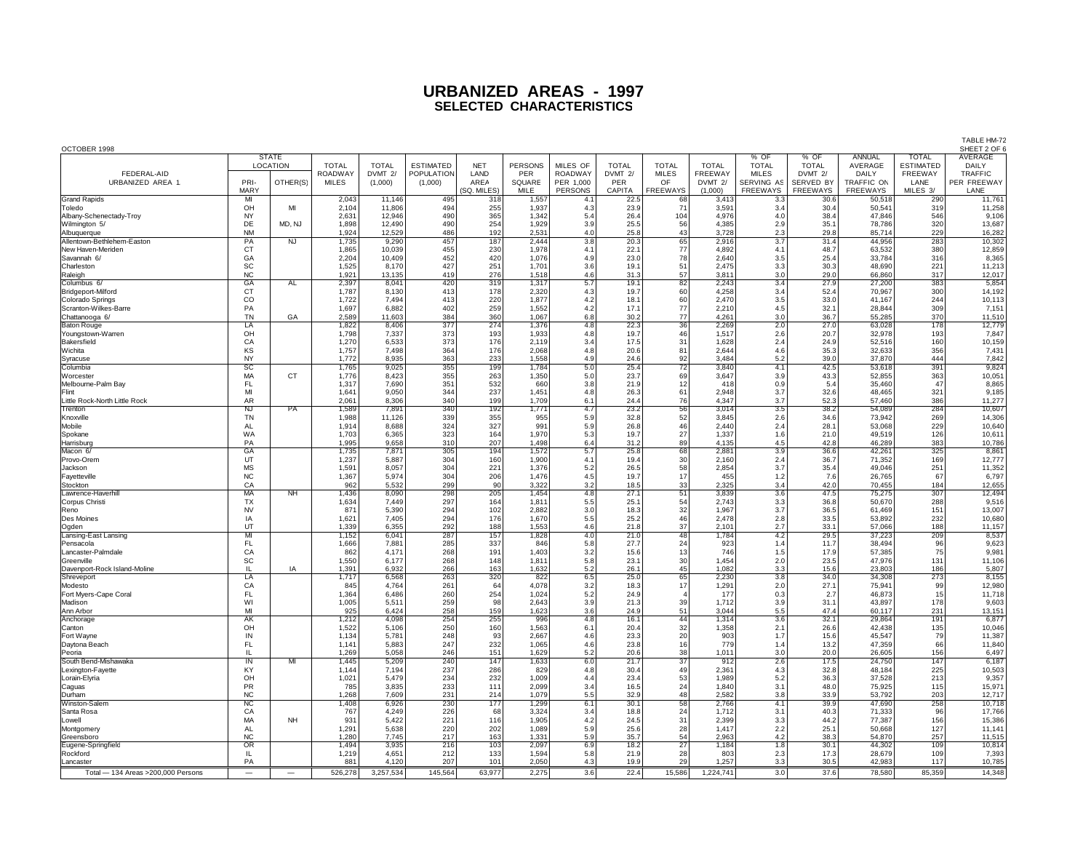| OCTOBER 1998                                    |                        |                          |                |                  |                  |             |                |            |              |                 |                |                      |                      |                          |                                  | SHEET 2 OF 6     |
|-------------------------------------------------|------------------------|--------------------------|----------------|------------------|------------------|-------------|----------------|------------|--------------|-----------------|----------------|----------------------|----------------------|--------------------------|----------------------------------|------------------|
|                                                 |                        | <b>STATE</b><br>LOCATION | <b>TOTAL</b>   | <b>TOTAL</b>     | <b>ESTIMATED</b> | <b>NET</b>  | <b>PERSONS</b> | MILES OF   | <b>TOTAL</b> | <b>TOTAL</b>    | <b>TOTAL</b>   | % OF<br><b>TOTAL</b> | % OF<br><b>TOTAL</b> | <b>ANNUAL</b><br>AVERAGE | <b>TOTAL</b><br><b>ESTIMATED</b> | AVERAGE<br>DAILY |
| FEDERAL-AID                                     |                        |                          | ROADWAY        | DVMT 2/          | POPULATION       | LAND        | PER            | ROADWAY    | DVMT 2/      | <b>MILES</b>    | <b>FREEWAY</b> | <b>MILES</b>         | DVMT 2/              | DAILY                    | FREEWAY                          | <b>TRAFFIC</b>   |
| URBANIZED AREA 1,                               | PRI-                   | OTHER(S)                 | <b>MILES</b>   | (1,000)          | (1,000)          | AREA        | SQUARE         | PER 1,000  | PER          | OF              | DVMT 2/        | SERVING AS           | SERVED BY            | TRAFFIC ON               | LANE                             | PER FREEWAY      |
| <b>Grand Rapids</b>                             | MARY<br>MI             |                          |                |                  |                  | (SQ. MILES) | MILE           | PERSONS    | CAPITA       | FREEWAYS        | (1,000)        | FREEWAYS             | FREEWAYS             | FREEWAYS                 | MILES 3/                         | LANE<br>11,761   |
| Toledo                                          | OH                     | MI                       | 2,043<br>2,104 | 11,146<br>11,806 | 495<br>494       | 318<br>255  | 1,557<br>1,937 | 4.1<br>4.3 | 22.5<br>23.9 | 68<br>71        | 3,413<br>3,591 | 3.3<br>3.4           | 30.6<br>30.4         | 50,518<br>50,541         | 290<br>319                       | 11,258           |
| Albany-Schenectady-Troy                         | <b>NY</b>              |                          | 2,631          | 12,946           | 490              | 365         | 1,342          | 5.4        | 26.4         | 104             | 4,976          | 4.0                  | 38.4                 | 47,846                   | 546                              | 9,106            |
| Wilmington 5/                                   | DE                     | MD, NJ                   | 1,898          | 12,490           | 490              | 254         | 1,929          | 3.9        | 25.5         | 56              | 4,385          | 2.9                  | 35.1                 | 78,786                   | 320                              | 13,687           |
| Albuquerque                                     | <b>NM</b>              |                          | 1,924          | 12,529           | 486              | 192         | 2,531          | 4.0        | 25.8         | 43              | 3,728          | 2.3                  | 29.8                 | 85,714                   | 229                              | 16,282           |
| Allentown-Bethlehem-Easton<br>New Haven-Meriden | PA<br><b>CT</b>        | <b>Z</b>                 | 1,735<br>1,865 | 9,290<br>10,039  | 457<br>455       | 187<br>230  | 2,444<br>1,978 | 3.8<br>4.1 | 20.3<br>22.1 | 65<br>77        | 2,916<br>4,892 | 3.7<br>4.1           | 31.4<br>48.7         | 44,956<br>63,532         | 283<br>380                       | 10,302<br>12,859 |
| Savannah 6/                                     | GA                     |                          | 2,204          | 10,409           | 452              | 420         | 1,076          | 4.9        | 23.0         | 78              | 2.640          | 3.5                  | 25.4                 | 33,784                   | 316                              | 8,365            |
| Charleston                                      | SC                     |                          | 1,525          | 8,170            | 427              | 251         | 1,701          | 3.6        | 19.1         | 51              | 2,475          | 3.3                  | 30.3                 | 48,690                   | 221                              | 11,213           |
| Raleigh                                         | <b>NC</b>              |                          | 1,921          | 13,135           | 419              | 276         | 1,518          | 4.6        | 31.3         | 57              | 3,811          | 3.0                  | 29.0                 | 66,860                   | 317                              | 12,017           |
| Columbus 6/                                     | GA                     | AL                       | 2,397          | 8,041            | 420              | 319         | 1,317          | 5.7        | 19.1         | 82              | 2,243          | 3.4                  | 27.9                 | 27,200                   | 383                              | 5,854            |
| Bridgeport-Milford                              | CT<br>$_{\rm CO}$      |                          | 1,787<br>1,722 | 8,130<br>7,494   | 413<br>413       | 178<br>220  | 2,320<br>1,877 | 4.3<br>4.2 | 19.7<br>18.1 | 60<br>60        | 4,258<br>2,470 | 3.4<br>3.5           | 52.4<br>33.0         | 70,967<br>41,167         | 300<br>244                       | 14,192<br>10,113 |
| Colorado Springs<br>Scranton-Wilkes-Barre       | PA                     |                          | 1,697          | 6,882            | 402              | 259         | 1,552          | 4.2        | 17.1         | 77              | 2.210          | 4.5                  | 32.1                 | 28,844                   | 309                              | 7,151            |
| Chattanooga 6/                                  | <b>TN</b>              | GA                       | 2,589          | 11,603           | 384              | 360         | 1,067          | 6.8        | 30.2         | 77              | 4,261          | 3.0                  | 36.7                 | 55,285                   | 370                              | 11,510           |
| <b>Baton Rouge</b>                              | LA                     |                          | 1,822          | 8,406            | 377              | 274         | 1,376          | 4.8        | 22.3         | 36              | 2,269          | 2.0                  | 27.0                 | 63,028                   | 178                              | 12,779           |
| Youngstown-Warren                               | OH                     |                          | 1,798          | 7,337            | 373              | 193         | 1,933          | 4.8        | 19.7         | 46              | 1.517          | 2.6                  | 20.7                 | 32,978                   | 193                              | 7,847            |
| Bakersfield<br>Wichita                          | CA<br><b>KS</b>        |                          | 1,270<br>1,757 | 6,533<br>7.498   | 373<br>364       | 176<br>176  | 2,119<br>2.068 | 3.4<br>4.8 | 17.5<br>20.6 | 31<br>81        | 1,628<br>2.644 | 2.4<br>4.6           | 24.9<br>35.3         | 52,516<br>32.633         | 160<br>356                       | 10,159<br>7,431  |
| Syracuse                                        | <b>NY</b>              |                          | 1,772          | 8.935            | 363              | 233         | 1,558          | 4.9        | 24.6         | 92              | 3.484          | 5.2                  | 39.0                 | 37,870                   | 444                              | 7,842            |
| Columbia                                        | SC                     |                          | 1,765          | 9,025            | 355              | 199         | 1,784          | 5.0        | 25.4         | $\overline{72}$ | 3,840          | 4.1                  | 42.5                 | 53,618                   | 391                              | 9,824            |
| Worcester                                       | MA                     | <b>CT</b>                | 1,776          | 8.423            | 355              | 263         | 1,350          | 5.0        | 23.7         | 69              | 3,647          | 3.9                  | 43.3                 | 52.855                   | 363                              | 10,051           |
| Melbourne-Palm Bay                              | FL.                    |                          | 1,317          | 7,690            | 351              | 532         | 660            | 3.8        | 21.9         | 12              | 418            | 0.9                  | 5.4                  | 35,460                   | 47                               | 8,865            |
| Flint<br>Little Rock-North Little Rock          | MI<br>AR               |                          | 1,641<br>2.061 | 9,050<br>8.306   | 344<br>340       | 237<br>199  | 1,451<br>1.709 | 4.8<br>6.1 | 26.3<br>24.4 | 61<br>76        | 2,948<br>4.347 | 3.7<br>3.7           | 32.6<br>52.3         | 48,465<br>57,460         | 321<br>386                       | 9,185<br>11,277  |
| Trenton                                         | <b>NJ</b>              | PA                       | 1,589          | 7,891            | 340              | 192         | 1,771          | 4.7        | 23.2         | 56              | 3,014          | $\overline{3.5}$     | 38.2                 | 54,089                   | 284                              | 10,607           |
| Knoxville                                       | TN                     |                          | 1,988          | 11,126           | 339              | 355         | 955            | 5.9        | 32.8         | 52              | 3,845          | 2.6                  | 34.6                 | 73,942                   | 269                              | 14,306           |
| Mobile                                          | AL                     |                          | 1,914          | 8,688            | 324              | 327         | 991            | 5.9        | 26.8         | 46              | 2,440          | 2.4                  | 28.1                 | 53,068                   | 229                              | 10,640           |
| Spokane                                         | WA<br>PA               |                          | 1,703<br>1,995 | 6,365<br>9,658   | 323              | 164<br>207  | 1,970          | 5.3        | 19.7         | 27<br>89        | 1,337          | 1.6                  | 21.0                 | 49,519                   | 126<br>383                       | 10,61'           |
| Harrisburg<br>Macon 6/                          | GA                     |                          | 1,735          | 7,871            | 310<br>305       | 194         | 1,498<br>1,572 | 6.4<br>5.7 | 31.2<br>25.8 | 68              | 4,135<br>2,881 | 4.5<br>3.9           | 42.8<br>36.6         | 46,289<br>42,261         | 325                              | 10,786<br>8,861  |
| Provo-Orem                                      | UT                     |                          | 1,237          | 5,887            | 304              | 160         | 1,900          | 4.1        | 19.4         | 30              | 2,160          | 2.4                  | 36.7                 | 71,352                   | 169                              | 12,777           |
| Jackson                                         | <b>MS</b>              |                          | 1,591          | 8,057            | 304              | 221         | 1,376          | 5.2        | 26.5         | 58              | 2,854          | 3.7                  | 35.4                 | 49,046                   | 251                              | 11,352           |
| Fayetteville                                    | <b>NC</b>              |                          | 1,367          | 5,974            | 304              | 206         | 1,476          | 4.5        | 19.7         | 17              | 455            | 1.2                  | 7.6                  | 26,765                   | 67                               | 6,797            |
| Stockton<br>Lawrence-Haverhill                  | CA<br>MA               | N <sub>H</sub>           | 962<br>1,436   | 5,532<br>8,090   | 299<br>298       | 90<br>205   | 3,322<br>1,454 | 3.2<br>4.8 | 18.5<br>27.1 | 33<br>51        | 2,325<br>3,839 | 3.4<br>3.6           | 42.0<br>47.5         | 70,455<br>75,275         | 184<br>307                       | 12,655<br>12,494 |
| Corpus Christi                                  | <b>TX</b>              |                          | 1,634          | 7,449            | 297              | 164         | 1,811          | 5.5        | 25.1         | 54              | 2,743          | 3.3                  | 36.8                 | 50,670                   | 288                              | 9,516            |
| Reno                                            | <b>NV</b>              |                          | 871            | 5,390            | 294              | 102         | 2,882          | 3.0        | 18.3         | 32              | 1,967          | 3.7                  | 36.5                 | 61,469                   | 151                              | 13,007           |
| Des Moines                                      | IA                     |                          | 1,621          | 7,405            | 294              | 176         | 1,670          | 5.5        | 25.2         | 46              | 2,478          | 2.8                  | 33.5                 | 53,892                   | 232                              | 10,680           |
| Ogden                                           | UT                     |                          | 1,339          | 6,355            | 292<br>287       | 188<br>157  | 1,553          | 4.6        | 21.8         | 37              | 2,101          | 2.7                  | 33.1                 | 57,066                   | 188                              | 11,157           |
| Lansing-East Lansing<br>Pensacola               | MI<br>FL.              |                          | 1,152<br>1,666 | 6,041<br>7,881   | 285              | 337         | 1,828<br>846   | 4.0<br>5.8 | 21.0<br>27.7 | 48<br>24        | 1,784<br>923   | 4.2<br>1.4           | 29.5<br>11.7         | 37,223<br>38,494         | 209<br>96                        | 8,537<br>9,623   |
| Lancaster-Palmdale                              | CA                     |                          | 862            | 4,171            | 268              | 191         | 1,403          | 3.2        | 15.6         | 13              | 746            | 1.5                  | 17.9                 | 57,385                   | 75                               | 9,981            |
| Greenville                                      | SC                     |                          | 1,550          | 6,177            | 268              | 148         | 1,811          | 5.8        | 23.1         | 30              | 1,454          | 2.0                  | 23.5                 | 47,976                   | 131                              | 11,106           |
| Davenport-Rock Island-Moline                    | ΙL                     | IA                       | 1,391          | 6,932            | 266              | 163         | 1,632          | 5.2        | 26.1         | 45              | 1,082          | 3.3                  | 15.6                 | 23,803                   | 186                              | 5,807            |
| Shreveport                                      | LA<br>CA               |                          | 1,717<br>845   | 6,568            | 263              | 320<br>64   | 822<br>4,078   | 6.5        | 25.0<br>18.3 | 65<br>17        | 2,230          | 3.8                  | 34.0                 | 34,308<br>75,941         | 273                              | 8,155<br>12,980  |
| Modesto<br>Fort Myers-Cape Coral                | FL.                    |                          | 1,364          | 4,764<br>6,486   | 261<br>260       | 254         | 1,024          | 3.2<br>5.2 | 24.9         |                 | 1,291<br>177   | 2.0<br>0.3           | 27.1<br>2.7          | 46,873                   | 99<br>15                         | 11,718           |
| Madison                                         | WI                     |                          | 1,005          | 5,511            | 259              | 98          | 2,643          | 3.9        | 21.3         | 39              | 1,712          | 3.9                  | 31.1                 | 43,897                   | 178                              | 9,603            |
| Ann Arbor                                       | MI                     |                          | 925            | 6,424            | 258              | 159         | 1,623          | 3.6        | 24.9         | 51              | 3,044          | 5.5                  | 47.4                 | 60,117                   | 231                              | 13,151           |
| Anchorage                                       | AΚ                     |                          | 1,212          | 4,098            | 254              | 255         | 996            | 4.8        | 16.1         | 44<br>32        | 1,314          | 3.6                  | 32.1                 | 29,864                   | 191                              | 6,877            |
| Canton<br>Fort Wayne                            | OH<br>IN               |                          | 1,522<br>1,134 | 5,106<br>5,781   | 250<br>248       | 160<br>93   | 1,563<br>2,667 | 6.1<br>4.6 | 20.4<br>23.3 | 20              | 1,358<br>903   | 2.1<br>1.7           | 26.6<br>15.6         | 42,438<br>45,547         | 135<br>79                        | 10,046<br>11,387 |
| Daytona Beach                                   | FL.                    |                          | 1,141          | 5,883            | 247              | 232         | 1,065          | 4.6        | 23.8         | 16              | 779            | 1.4                  | 13.2                 | 47,359                   | 66                               | 11,840           |
| Peoria                                          | $\mathbf{H}$           |                          | 1,269          | 5,058            | 246              | 151         | 1,629          | 5.2        | 20.6         | 38              | 1,011          | 3.0                  | 20.0                 | 26,605                   | 156                              | 6,497            |
| South Bend-Mishawaka                            | $\overline{N}$         | M                        | 1,445          | 5,209            | 240              | 147         | 1,633          | 6.0        | 21.7         | $\overline{37}$ | 912            | 2.6                  | 17.5                 | 24,750                   | 147                              | 6,187            |
| Lexington-Fayette<br>Lorain-Elyria              | <b>KY</b><br>OH        |                          | 1,144<br>1,021 | 7,194<br>5,479   | 237<br>234       | 286<br>232  | 829<br>1,009   | 4.8        | 30.4<br>23.4 | 49<br>53        | 2,361<br>1,989 | 4.3<br>5.2           | 32.8<br>36.3         | 48.184<br>37,528         | 225<br>213                       | 10,503<br>9,357  |
| Caguas                                          | <b>PR</b>              |                          | 785            | 3,835            | 233              | 111         | 2,099          | 4.4<br>3.4 | 16.5         | 24              | 1,840          | 3.1                  | 48.0                 | 75,925                   | 115                              | 15,971           |
| Durham                                          | NC                     |                          | 1,268          | 7,609            | 231              | 214         | 1,079          | 5.5        | 32.9         | 48              | 2.582          | 3.8                  | 33.9                 | 53,792                   | 203                              | 12,717           |
| Winston-Salem                                   | $\overline{\text{NC}}$ |                          | 1,408          | 6,926            | 230              | 177         | 1,299          | 6.1        | 30.1         | 58              | 2,766          | 4.1                  | 39.9                 | 47,690                   | 258                              | 10,718           |
| Santa Rosa                                      | CA                     |                          | 767            | 4,249            | 226              | 68          | 3,324          | 3.4        | 18.8         | 24              | 1,712          | 3.1                  | 40.3                 | 71,333                   | 96                               | 17,766           |
| Lowell                                          | MA<br><b>AL</b>        | <b>NH</b>                | 931<br>1,291   | 5,422<br>5,638   | 221<br>220       | 116<br>202  | 1,905<br>1,089 | 4.2<br>5.9 | 24.5<br>25.6 | 31<br>28        | 2,399<br>1,417 | 3.3<br>2.2           | 44.2<br>25.1         | 77.387<br>50,668         | 156<br>127                       | 15,386<br>11,141 |
| Montgomery<br>Greensbord                        | <b>NC</b>              |                          | 1.280          | 7,745            | 217              | 163         | 1,331          | 5.9        | 35.7         | 54              | 2.963          | 4.2                  | 38.3                 | 54,870                   | 257                              | 11,515           |
| Eugene-Springfield                              | <b>OR</b>              |                          | 1,494          | 3,935            | 216              | 103         | 2,097          | 6.9        | 18.2         | 27              | 1,184          | 1.8                  | 30.1                 | 44,302                   | 109                              | 10,814           |
| Rockford                                        | IL                     |                          | 1,219          | 4,651            | 212              | 133         | 1,594          | 5.8        | 21.9         | 28              | 803            | 2.3                  | 17.3                 | 28,679                   | 109                              | 7,393            |
| Lancaster                                       | PA                     |                          | 881            | 4,120            | 207              | 101         | 2,050          | 4.3        | 19.9         | 29              | 1,257          | 3.3                  | 30.5                 | 42.983                   | 117                              | 10,785           |
| Total - 134 Areas > 200,000 Persons             | $\qquad \qquad -$      | $\qquad \qquad -$        | 526.278        | 3.257.534        | 145.564          | 63.977      | 2.275          | 3.6        | 22.4         | 15.586          | 1.224.741      | 3.0                  | 37.6                 | 78,580                   | 85.359                           | 14.348           |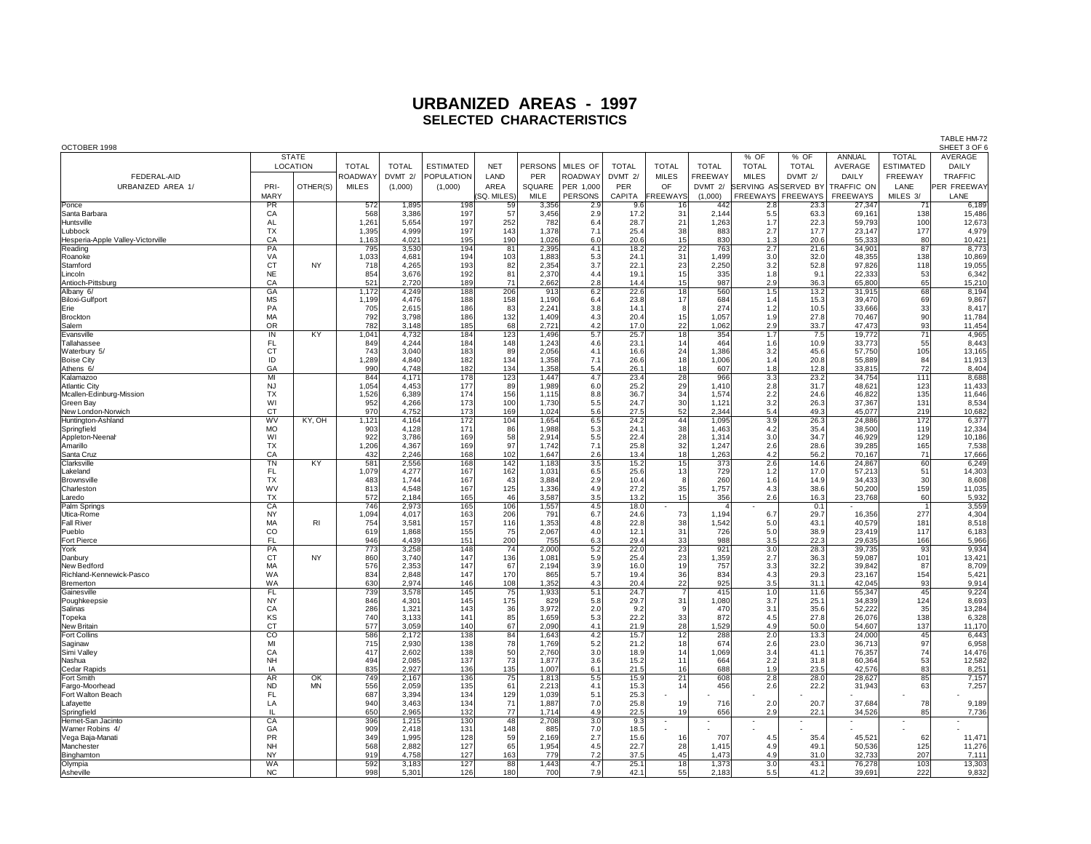| OCTOBER 1998                      |                        |                     |              |              |                  |             |                |                  |              |                 |              |                             |                   |            |                  | SHEET 3 OF 6       |
|-----------------------------------|------------------------|---------------------|--------------|--------------|------------------|-------------|----------------|------------------|--------------|-----------------|--------------|-----------------------------|-------------------|------------|------------------|--------------------|
|                                   |                        | <b>STATE</b>        |              |              |                  |             |                |                  |              |                 |              | % OF                        | % OF              | ANNUAL     | <b>TOTAL</b>     | AVERAGE            |
|                                   |                        | <b>LOCATION</b>     | <b>TOTAL</b> | <b>TOTAL</b> | <b>ESTIMATED</b> | <b>NET</b>  | <b>PERSONS</b> | MILES OF         | <b>TOTAL</b> | <b>TOTAL</b>    | <b>TOTAL</b> | <b>TOTAL</b>                | <b>TOTAL</b>      | AVERAGE    | <b>ESTIMATED</b> | DAILY              |
| FEDERAL-AID                       |                        |                     | ROADWA'      | DVMT 2/      | POPULATION       | LAND        | PER            | ROADWAY          | DVMT 2/      | <b>MILES</b>    | FREEWAY      | <b>MILES</b>                | DVMT 2/           | DAILY      | FREEWAY          | TRAFFIC            |
| URBANIZED AREA 1/                 | PRI-                   | OTHER(S)            | <b>MILES</b> | (1,000)      | (1,000)          | AREA        | SQUARE         | PER 1.000        | PER          | OF              | DVMT 2/      | <b>SERVING AS SERVED BY</b> |                   | TRAFFIC ON | LANE             | <b>PER FREEWAY</b> |
|                                   |                        |                     |              |              |                  |             |                |                  |              |                 |              |                             |                   |            |                  |                    |
|                                   | <b>MARY</b>            |                     |              |              |                  | (SQ. MILES) | MILE           | PERSONS          | CAPITA       | <b>FREEWAYS</b> | (1,000)      |                             | FREEWAYS FREEWAYS | FREEWAYS   | MILES 3/         | LANE               |
| Ponce                             | <b>PR</b>              |                     | 572          | 1,895        | 198              | 59          | 3,356          | 2.9              | 9.6          | 16              | 442          | 2.8                         | 23.3              | 27,347     | 71               | 6,189              |
| Santa Barbara                     | CA                     |                     | 568          | 3,386        | 197              | 57          | 3,456          | 2.9              | 17.2         | 31              | 2.144        | 5.5                         | 63.3              | 69.161     | 138              | 15,486             |
| Huntsville                        | AL                     |                     | 1,261        | 5,654        | 197              | 252         | 782            | 6.4              | 28.7         | 21              | 1,263        | 1.7                         | 22.3              | 59.793     | 100              | 12,673             |
| Lubbock                           | <b>TX</b>              |                     | 1,395        | 4,999        | 197              | 143         | 1,378          | 7.1              | 25.4         | 38              | 883          | 2.7                         | 17.7              | 23,147     | 177              | 4,979              |
| Hesperia-Apple Valley-Victorville | CA                     |                     | 1,163        | 4,021        | 195              | 190         | 1,026          | 6.0              | 20.6         | 15              | 830          | 1.3                         | 20.6              | 55,333     | 80               | 10,421             |
| Reading                           | PA                     |                     | 795          | 3,530        | 194              | 81          | 2,395          | 4.1              | 18.2         | $\overline{22}$ | 763          | 2.7                         | 21.6              | 34,901     | 87               | 8,773              |
| Roanoke                           | VA                     |                     | 1,033        | 4,681        | 194              | 103         | 1,883          | 5.3              | 24.1         | 31              | 1,499        | 3.0                         | 32.0              | 48,355     | 138              | 10,869             |
| Stamford                          | CT                     | <b>NY</b>           | 718          | 4,265        | 193              | 82          | 2,354          | 3.7              | 22.1         | 23              | 2,250        | 3.2                         | 52.8              | 97,826     | 118              | 19,055             |
| Lincoln                           | <b>NE</b>              |                     | 854          | 3,676        | 192              | 81          | 2,370          | 4.4              | 19.1         | 15              | 335          | 1.8                         | 9.1               | 22.333     | 53               | 6,342              |
| Antioch-Pittsburg                 | CA                     |                     | 521          | 2,720        | 189              | 71          | 2,662          | 2.8              | 14.4         | 15              | 987          | 2.9                         | 36.3              | 65,800     | 65               | 15,210             |
| Albany 6/                         | GA                     |                     | 1,172        | 4,249        | 188              | 206         | 913            | 6.2              | 22.6         | $\overline{18}$ | 560          | 1.5                         | 13.2              | 31,915     | 68               | 8,194              |
| Biloxi-Gulfport                   | <b>MS</b>              |                     | 1.199        | 4.476        | 188              | 158         | 1.190          | 6.4              | 23.8         | 17              | 684          | 1.4                         | 15.3              | 39.470     | 69               | 9,867              |
| Erie                              | PA                     |                     | 705          | 2,615        | 186              | 83          | 2,24'          | 3.8              | 14.1         | 8               | 274          | 1.2                         | 10.5              | 33,666     | 33               | 8,417              |
| Brockton                          | MA                     |                     | 792          | 3,798        | 186              | 132         | 1,409          | 4.3              | 20.4         | 15              | 1,057        | 1.9                         | 27.8              | 70,467     | 90               | 11,784             |
| Salem                             | <b>OR</b>              |                     | 782          | 3,148        | 185              | 68          | 2,721          | 4.2              | 17.0         | $22\,$          | 1,062        | 2.9                         | 33.7              | 47,473     | 93               | 11,454             |
| Evansville                        | IN                     | KY                  | 1,041        | 4,732        | 184              | 123         | 1,496          | 5.7              | 25.7         | $\overline{18}$ | 354          | 1.7                         | 7.5               | 19,772     | $\overline{71}$  | 4,965              |
| Tallahassee                       | <b>FL</b>              |                     | 849          | 4,244        | 184              | 148         | 1,243          | 4.6              | 23.1         | 14              | 464          | 1.6                         | 10.9              | 33,773     | 55               | 8,443              |
| Waterbury 5/                      | CT                     |                     | 743          | 3,040        | 183              | 89          | 2,056          | 4.1              | 16.6         | 24              | 1,386        | 3.2                         | 45.6              | 57,750     | 105              | 13,165             |
| <b>Boise City</b>                 | ID                     |                     | 1,289        | 4,840        | 182              | 134         | 1,358          | 7.1              | 26.6         | 18              | 1,006        | 1.4                         | 20.8              | 55,889     | 84               | 11,913             |
| Athens 6/                         | GA                     |                     | 990          | 4,748        | 182              | 134         | 1,358          | 5.4              | 26.1         | 18              | 607          | 1.8                         | 12.8              | 33,815     | 72               | 8,404              |
| Kalamazoo                         | M                      |                     | 844          | 4,171        | 178              | 123         | 1,447          | 4.7              | 23.4         | 28              | 966          | 3.3                         | 23.2              | 34,754     | 111              | 8,688              |
| <b>Atlantic City</b>              | <b>NJ</b>              |                     | 1,054        | 4,453        | 177              | 89          | 1,989          | 6.0              | 25.2         | 29              | 1,410        | 2.8                         | 31.7              | 48,621     | 123              | 11,433             |
| Mcallen-Edinburg-Mission          | <b>TX</b>              |                     | 1,526        | 6,389        | 174              | 156         | 1,115          | 8.8              | 36.7         | 34              | 1,574        | 2.2                         | 24.6              | 46,822     | 135              | 11,646             |
| Green Bay                         | WI                     |                     | 952          | 4,266        | 173              | 100         | 1,730          | 5.5              | 24.7         | 30              | 1,121        | 3.2                         | 26.3              | 37,367     | 131              | 8,534              |
| New London-Norwich                | <b>CT</b>              |                     | 970          | 4.752        | 173              | 169         | 1,024          | 5.6              | 27.5         | 52              | 2.344        | 5.4                         | 49.3              | 45.077     | 219              | 10,682             |
| Huntington-Ashland                | $\overline{\text{wv}}$ | KY, OH              | 1,121        | 4,164        | 172              | 104         | 1,654          | 6.5              | 24.2         | $\frac{44}{38}$ | 1,095        | 3.9                         | 26.3              | 24,886     | 172              | 6,377              |
| Springfield                       | <b>MO</b>              |                     | 903          | 4.128        | 171              | 86          | 1,988          | 5.3              | 24.1         |                 | 1.463        | 4.2                         | 35.4              | 38,500     | 119              | 12,334             |
| Appleton-Neenah                   | WI                     |                     | 922          | 3.786        | 169              | 58          | 2,914          | 5.5              | 22.4         | 28              | 1,314        | 3.0                         | 34.7              | 46.929     | 129              | 10,186             |
| Amarillo                          | <b>TX</b>              |                     | 1,206        | 4,367        | 169              | 97          | 1,742          | 7.1              | 25.8         | 32              | 1,247        | 2.6                         | 28.6              | 39,285     | 165              | 7,538              |
| Santa Cruz                        | CA                     |                     | 432          | 2,246        | 168              | 102         | 1,647          | 2.6              | 13.4         | 18              | 1,263        | 4.2                         | 56.2              | 70,167     | 71               | 17,666             |
| Clarksville                       | TN                     | KY                  | 581          | 2,556        | 168              | 142         | 1,183          | 3.5              | 15.2         | 15              | 373          | 2.6                         | 14.6              | 24,867     | 60               | 6,249              |
| Lakeland                          | FL                     |                     | 1,079        | 4,277        | 167              | 162         | 1,03'          | 6.5              | 25.6         | $13$            | 729          | 1.2                         | 17.0              | 57,213     | 51               | 14,303             |
| Brownsville                       | <b>TX</b>              |                     | 483          | 1,744        | 167              | 43          | 3,884          | 2.9              | 10.4         | 8               | 260          | 1.6                         | 14.9              | 34,433     | 30               | 8,608              |
| Charleston                        | WV                     |                     | 813          | 4,548        | 167              | 125         | 1,336          | 4.9              | 27.2         | 35              | 1,757        | 4.3                         | 38.6              | 50,200     | 159              | 11,035             |
| Laredo                            | <b>TX</b>              |                     | 572          | 2,184        | 165              | 46          | 3,587          | 3.5              | 13.2         | 15              | 356          | 2.6                         | 16.3              | 23,768     | 60               | 5,932              |
| Palm Springs                      | CA                     |                     | 746          | 2,973        | 165              | 106         | 1,557          | 4.5              | 18.0         |                 |              |                             | 0.1               |            |                  | 3,559              |
| Utica-Rome                        | <b>NY</b>              |                     | 1,094        | 4,017        | 163              | 206         | 791            | 6.7              | 24.6         | 73              | 1,194        | 6.7                         | 29.7              | 16,356     | 277              | 4,304              |
| <b>Fall River</b>                 | MA                     | <b>RI</b>           | 754          | 3.581        | 157              | 116         | 1,353          | 4.8              | 22.8         | 38              | 1.542        | 5.0                         | 43.1              | 40.579     | 181              | 8,518              |
| Pueblo                            | CO                     |                     | 619          | 1,868        | 155              | 75          | 2,067          | 4.0              | 12.1         | 31              | 726          | 5.0                         | 38.9              | 23,419     | 117              | 6,183              |
| Fort Pierce                       | FL                     |                     | 946          | 4.439        | 151              | 200         | 755            | 6.3              | 29.4         | 33              | 988          | 3.5                         | 22.3              | 29.635     | 166              | 5,966              |
| York                              | PA                     |                     | 773          | 3,258        | 148              | 74          | 2,000          | 5.2              | 22.0         | $\overline{23}$ | 921          | 3.0                         | 28.3              | 39.735     | 93               | 9,934              |
| Danbury                           | <b>CT</b>              | <b>NY</b>           | 860          | 3,740        | 147              | 136         | 1,08'          | 5.9              | 25.4         | 23              | 1,359        | 2.7                         | 36.3              | 59,087     | 101              | 13,421             |
| New Bedford                       | MA                     |                     | 576          | 2,353        | 147              | 67          | 2,194          | 3.9              | 16.0         | 19              | 757          | 3.3                         | 32.2              | 39,842     | 87               | 8,709              |
| Richland-Kennewick-Pasco          | <b>WA</b>              |                     | 834          | 2,848        | 147              | 170         | 865            | 5.7              | 19.4         | 36              | 834          | 4.3                         | 29.3              | 23,167     | 154              | 5,421              |
| Bremerton                         | WA                     |                     | 630          | 2,974        | 146              | 108         | 1,352          | 4.3              | 20.4         | 22              | 925          | 3.5                         | 31.1              | 42,045     | 93               | 9,914              |
| Gainesville                       | <b>FL</b>              |                     | 739          | 3,578        | 145              | 75          | 1,933          | 5.1              | 24.7         | $\overline{7}$  | 415          | 1.0                         | 11.6              | 55,347     | 45               | 9,224              |
| Poughkeepsie                      | <b>NY</b>              |                     | 846          | 4,301        | 145              | 175         | 829            | 5.8              | 29.7         | 31              | 1,080        | 3.7                         | 25.1              | 34,839     | 124              | 8,693              |
| Salinas                           | CA                     |                     | 286          | 1,321        | 143              | 36          | 3,972          | 2.0              | 9.2          | 9               | 470          | 3.1                         | 35.6              | 52,222     | 35               | 13,284             |
| Topeka                            | KS                     |                     | 740          | 3,133        | 141              | 85          | 1,659          | 5.3              | 22.2         | 33              | 872          | 4.5                         | 27.8              | 26,076     | 138              | 6,328              |
| <b>New Britair</b>                | CT                     |                     | 577          | 3,059        | 140              | 67          | 2,090          | 4.1              | 21.9         | 28              | 1,529        | 4.9                         | 50.0              | 54,607     | 137              | 11,170             |
| <b>Fort Collins</b>               | $\overline{co}$        |                     | 586          | 2.172        | 138              | 84          | 1,643          | 4.2              | 15.7         | 12              | 288          | 2.0                         | 13.3              | 24.000     | 45               | 6,443              |
| Saginaw                           | MI                     |                     | 715          | 2,930        | 138              | 78          | 1,769          | $5.2\,$          | 21.2         | 18              | 674          | 2.6                         | 23.0              | 36,713     | 97               | 6,958              |
| Simi Valley                       | CA                     |                     | 417          | 2,602        | 138              | 50          | 2,760          | 3.0              | 18.9         | 14              | 1,069        | 3.4                         | 41.1              | 76,357     | 74               | 14,476             |
| Nashua                            | <b>NH</b>              |                     | 494          | 2,085        | 137              | 73          | 1,877          | 3.6              | 15.2         | 11              | 664          | 2.2                         | 31.8              | 60.364     | 53               | 12,582             |
| Cedar Rapids                      | IA                     |                     | 835          | 2,927        | 136              | 135         | 1,007          | 6.1              | 21.5         | 16              | 688          | 1.9                         | 23.5              | 42,576     | 83               | 8,251              |
| Fort Smith                        | <b>AR</b>              | $\overline{\alpha}$ | 749          | 2,167        | 136              | 75          | 1,813          | 5.5              | 15.9         | 21              | 608          | 2.8                         | 28.0              | 28,627     | 85               | 7,157              |
| Fargo-Moorhead                    | <b>ND</b>              | <b>MN</b>           | 556          | 2,059        | 135              | 61          | 2,213          | 4.1              | 15.3         | 14              | 456          | 2.6                         | 22.2              | 31.943     | 63               | 7,257              |
| Fort Walton Beach                 | FL                     |                     | 687          | 3,394        | 134              | 129         | 1,039          | 5.1              | 25.3         |                 |              |                             |                   |            |                  |                    |
| Lafayette                         | LA                     |                     | 940          | 3,463        | 134              | 71          | 1,887          | 7.0              | 25.8         | 19              | 716          | 2.0                         | 20.7              | 37,684     | 78               | 9,189              |
| Springfield                       | IL.                    |                     | 650          | 2,965        | 132              | 77          | 1,714          | 4.9              | 22.5         | 19              | 656          | 2.9                         | 22.1              | 34,526     | 85               | 7,736              |
| Hemet-San Jacinto                 | C A                    |                     | 396          | 1,215        | 130              | 48          | 2,708          | $\overline{3.0}$ | 9.3          |                 |              |                             |                   |            | ÷,               |                    |
| Warner Robins 4/                  | GA                     |                     | 909          | 2,418        | 131              | 148         | 885            | $7.0$            | 18.5         |                 |              |                             |                   |            |                  |                    |
| Vega Baja-Manati                  | PR                     |                     | 349          | 1,995        | 128              | 59          | 2,169          | 2.7              | 15.6         | 16              | 707          | 4.5                         | 35.4              | 45,521     | 62               | 11,471             |
| Manchester                        | NH                     |                     | 568          | 2,882        | 127              | 65          | 1,954          | 4.5              | 22.7         | 28              | 1,415        | 4.9                         | 49.1              | 50,536     | 125              | 11,276             |
| Binghamtor                        | <b>NY</b>              |                     | 919          | 4,758        | 127              | 163         | 779            | 7.2              | 37.5         | 45              | 1,473        | 4.9                         | 31.0              | 32,733     | 207              | 7,111              |
| Olympia                           | <b>WA</b>              |                     | 592          | 3.183        | 127              | 88          | 1.443          | 4.7              | 25.1         | 18              | 1,373        | 3.0                         | 43.1              | 76.278     | 103              | 13,303             |
| Asheville                         | N <sub>C</sub>         |                     | 998          | 5.301        | <b>126</b>       | 180         | 700            | 7.9              | 42.1         | 55              | 2.183        | 5.5                         | 41.2              | 39.691     | 222              | 9.832              |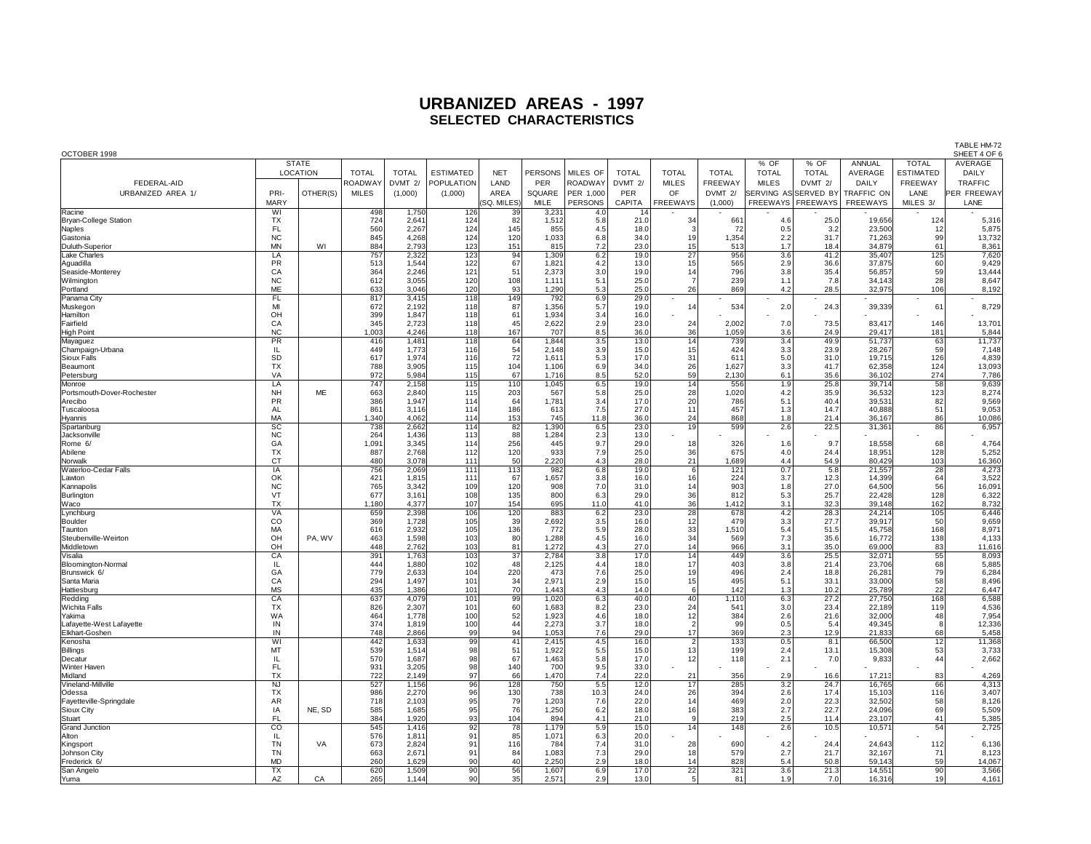| OCTOBER 1998                       |                  |                 |              |                |                  |                 |                |            |              |                                        |              |                     | SHEET 4 OF 6        |                  |                  |                 |
|------------------------------------|------------------|-----------------|--------------|----------------|------------------|-----------------|----------------|------------|--------------|----------------------------------------|--------------|---------------------|---------------------|------------------|------------------|-----------------|
|                                    |                  | <b>STATE</b>    |              |                |                  |                 |                |            |              |                                        |              | % OF                | % OF                | ANNUAL           | <b>TOTAL</b>     | AVERAGE         |
|                                    |                  | <b>LOCATION</b> | <b>TOTAL</b> | <b>TOTAL</b>   | <b>ESTIMATED</b> | <b>NET</b>      | PERSONS        | MILES OF   | <b>TOTAL</b> | <b>TOTAL</b>                           | <b>TOTAL</b> | <b>TOTAL</b>        | <b>TOTAL</b>        | AVERAGE          | <b>ESTIMATED</b> | DAILY           |
| FEDERAL-AID                        |                  |                 | ROADWAY      | DVMT 2/        | POPULATION       | LAND            | PER            | ROADWAY    | DVMT 2/      | <b>MILES</b>                           | FREEWAY      | <b>MILES</b>        | DVMT 2/             | DAILY            | FREEWAY          | TRAFFIC         |
| URBANIZED AREA 1/                  | PRI-             | OTHER(S)        | <b>MILES</b> | (1,000)        | (1,000)          | AREA            | SQUARE         | PER 1,000  | PER          | OF                                     | DVMT 2/      | SERVING ASSERVED BY |                     | TRAFFIC ON       | LANE             | PER FREEWAY     |
|                                    | <b>MARY</b>      |                 |              |                |                  | SQ. MILES)      | MILE           | PERSONS    | CAPITA       | <b>FREEWAYS</b>                        | (1,000)      |                     | FREEWAYS   FREEWAYS | FREEWAYS         | MILES 3/         | LANE            |
| Racine                             | WI               |                 | 498          | 1,750          | 126              | 39              | 3,231          | 4.0        |              |                                        |              |                     |                     |                  |                  |                 |
| <b>Bryan-College Station</b>       | <b>TX</b>        |                 | 724          | 2,641          | 124              | 82              | 1,512          | 5.8        | 21.0         | 34                                     | 661          | 4.6                 | 25.0                | 19,656           | 124              | 5,316           |
| Naples                             | FL               |                 | 560          | 2,267          | 124              | 145             | 855            | 4.5        | 18.0         | 3                                      | 72           | 0.5                 | 3.2                 | 23,500           | 12               | 5,875           |
| Gastonia                           | NC               |                 | 845          | 4,268          | 124              | 120             | 1,033          | 6.8        | 34.0         | 19                                     | 1,354        | 2.2                 | 31.7                | 71,263           | 99               | 13,732          |
| Duluth-Superior                    | MN               | WI              | 884          | 2,793          | 123              | 151             | 815            | 7.2        | 23.0         | 15                                     | 513          | 1.7                 | 18.4                | 34,879           | 61               | 8,361           |
| <b>Lake Charles</b>                | LA               |                 | 757          | 2,322          | 123              | 94              | 1,309          | 6.2        | 19.0         | $\overline{27}$                        | 956          | 3.6                 | 41.2                | 35,407           | 125              | 7,620           |
| Aguadilla                          | PR               |                 | 513          | 1,544          | 122              | 67              | 1,821          | 4.2        | 13.0         | 15                                     | 565          | 2.9                 | 36.6                | 37,875           | 60               | 9,429           |
| Seaside-Monterey                   | CA<br>${\sf NC}$ |                 | 364<br>612   | 2,246<br>3,055 | 121<br>120       | 51<br>108       | 2,373<br>1,111 | 3.0<br>5.1 | 19.0<br>25.0 | $\begin{array}{c} 14 \\ 7 \end{array}$ | 796<br>239   | 3.8                 | 35.4<br>7.8         | 56,857<br>34,143 | 59<br>28         | 13,444<br>8,647 |
| Wilmington<br>Portland             | ME               |                 | 633          | 3,046          | 120              | 93              | 1,290          | 5.3        | 25.0         | 26                                     | 869          | 1.1<br>4.2          | 28.5                | 32,975           | 106              | 8,192           |
| Panama City                        | <b>FL</b>        |                 | 817          | 3.415          | 118              | 149             | 792            | 6.9        | 29.0         |                                        |              |                     |                     |                  |                  |                 |
| Muskegon                           | MI               |                 | 672          | 2,192          | 118              | 87              | 1,356          | 5.7        | 19.0         | 14                                     | 534          | 2.0                 | 24.3                | 39,339           | 61               | 8,729           |
| Hamilton                           | OH               |                 | 399          | 1,847          | 118              | 61              | 1,934          | 3.4        | 16.0         |                                        |              |                     |                     |                  |                  |                 |
| Fairfield                          | CA               |                 | 345          | 2,723          | 118              | 45              | 2,622          | 2.9        | 23.0         | 24                                     | 2,002        | 7.0                 | 73.5                | 83,417           | 146              | 13,701          |
| High Poin                          | <b>NC</b>        |                 | 1,003        | 4,246          | 118              | 167             | 707            | 8.5        | 36.0         | 36                                     | 1,059        | 3.6                 | 24.9                | 29,417           | 181              | 5,844           |
| Mayaguez                           | PR               |                 | 416          | 1,481          | 118              | 64              | 1,844          | 3.5        | 13.0         | 14                                     | 739          | 3.4                 | 49.9                | 51,737           | 63               | 11,737          |
| Champaign-Urbana                   | IL               |                 | 449          | 1,773          | 116              | $\frac{54}{72}$ | 2,148          | 3.9        | 15.0         | 15                                     | 424          | 3.3                 | 23.9                | 28,267           | 59               | 7,148           |
| Sioux Falls                        | SD               |                 | 617          | 1,974          | 116              |                 | 1,611          | 5.3        | 17.0         | 31                                     | 611          | 5.0                 | 31.0                | 19,715           | 126              | 4,839           |
| Beaumont                           | <b>TX</b>        |                 | 788          | 3,905          | 115              | 104             | 1,106          | 6.9        | 34.0         | 26                                     | 1,627        | 3.3                 | 41.7                | 62,358           | 124              | 13,093          |
| Petersburg                         | VA               |                 | 972          | 5,984          | 115              | 67              | 1,716          | 8.5        | 52.0         | 59                                     | 2,130        | 6.1                 | 35.6                | 36,102           | 274              | 7,786           |
| Monroe                             | LA               |                 | 747          | 2,158          | 115              | 110             | 1,045          | 6.5        | 19.0         | 14                                     | 556          | 1.9                 | 25.8                | 39,714           | 58               | 9,639           |
| Portsmouth-Dover-Rochester         | <b>NH</b>        | ME              | 663          | 2,840          | 115              | 203             | 567            | 5.8        | 25.0         | 28                                     | 1,020        | 4.2                 | 35.9                | 36,532           | 123              | 8,274           |
| Arecibo                            | PR               |                 | 386          | 1,947          | 114              | 64              | 1,781          | 3.4        | 17.0         | 20                                     | 786          | 5.1                 | 40.4                | 39,531           | 82               | 9,569           |
| Tuscaloosa                         | <b>AL</b>        |                 | 861          | 3,116          | 114              | 186             | 613            | 7.5        | 27.0         | 11                                     | 457          | 1.3                 | 14.7                | 40.888           | 51               | 9,053           |
| Hyannis                            | MA               |                 | 1,340        | 4,062          | 114<br>114       | 153             | 745            | 11.8       | 36.0         | 24<br>19                               | 868          | 1.8                 | 21.4                | 36.167           | 86               | 10,086          |
| Spartanburg<br>Jacksonville        | <b>SC</b><br>NC  |                 | 738<br>264   | 2,662<br>1,436 | 113              | 82 <br>88       | 1,390<br>1,284 | 6.5<br>2.3 | 23.0<br>13.0 |                                        | 599          | 2.6                 | 22.5                | 31,361           | 86               | 6,957           |
| Rome 6/                            | GA               |                 | 1,091        | 3,345          | 114              | 256             | 445            | 9.7        | 29.0         | 18                                     | 326          | 1.6                 | 9.7                 | 18,558           | 68               | 4,764           |
| Abilene                            | <b>TX</b>        |                 | 887          | 2,768          | 112              | 120             | 933            | 7.9        | 25.0         | 36                                     | 675          | 4.0                 | 24.4                | 18,951           | 128              | 5,252           |
| Norwalk                            | CT               |                 | 480          | 3,078          | 111              | 50              | 2,220          | 4.3        | 28.0         | 21                                     | 1,689        | 4.4                 | 54.9                | 80,429           | 103              | 16,360          |
| Waterloo-Cedar Falls               | $\overline{IA}$  |                 | 756          | 2,069          | 111              | 113             | 982            | 6.8        | 19.0         | 6                                      | 121          | 0.7                 | 5.8                 | 21,557           | 28               | 4,273           |
| Lawton                             | OK               |                 | 421          | 1,815          | 111              | 67              | 1,657          | 3.8        | 16.0         | 16                                     | 224          | 3.7                 | 12.3                | 14,399           | 64               | 3,522           |
| Kannapolis                         | NC               |                 | 765          | 3,342          | 109              | 120             | 908            | 7.0        | 31.0         | 14                                     | 903          | 1.8                 | 27.0                | 64,500           | 56               | 16,091          |
| Burlington                         | VT               |                 | 677          | 3,161          | 108              | 135             | 800            | 6.3        | 29.0         | 36                                     | 812          | 5.3                 | 25.7                | 22,428           | 128              | 6,322           |
| Waco                               | <b>TX</b>        |                 | 1,180        | 4,377          | 107              | 154             | 695            | 11.0       | 41.0         | 36                                     | 1,412        | 3.1                 | 32.3                | 39,148           | 162              | 8,732           |
| Lynchburg                          | <b>VA</b>        |                 | 659          | 2,398          | 106              | 120             | 883            | 6.2        | 23.0         | $\overline{28}$                        | 678          | 4.2                 | 28.3                | 24,214           | 105              | 6,446           |
| Boulder                            | CO               |                 | 369          | 1,728          | 105              | 39              | 2,692          | 3.5        | 16.0         | 12                                     | 479          | 3.3                 | 27.7                | 39,917           | 50               | 9,659           |
| Taunton                            | MA               |                 | 616          | 2,932          | 105              | 136             | 772            | 5.9        | 28.0         | 33                                     | 1,510        | 5.4                 | 51.5                | 45,758           | 168              | 8,97            |
| Steubenville-Weirton               | OH               | PA, WV          | 463          | 1,598          | 103              | 80              | 1.288          | 4.5        | 16.0         | 34                                     | 569          | 7.3                 | 35.6                | 16,772           | 138              | 4,133           |
| Middletown                         | OH               |                 | 448          | 2,762          | 103              | 81              | 1,272          | 4.3        | 27.0         | 14                                     | 966          | 3.1                 | 35.0                | 69,000           | 83               | 11,616          |
| Visalia                            | CA<br>IL         |                 | 391<br>444   | 1,763<br>1,880 | 103<br>102       | 37<br>48        | 2,784<br>2,125 | 3.8<br>4.4 | 17.0<br>18.0 | 14<br>17                               | 449<br>403   | 3.6<br>3.8          | 25.5<br>21.4        | 32,071<br>23,706 | 55<br>68         | 8,093           |
| Bloomington-Normal<br>Brunswick 6/ | GA               |                 | 779          | 2,633          | 104              | 220             | 473            | 7.6        | 25.0         | 19                                     | 496          | 2.4                 | 18.8                | 26,281           | 79               | 5,885<br>6,284  |
| Santa Maria                        | CA               |                 | 294          | 1,497          | 101              | 34              | 2,971          | 2.9        | 15.0         | 15                                     | 495          | 5.1                 | 33.1                | 33,000           | 58               | 8,496           |
| Hattiesburg                        | <b>MS</b>        |                 | 435          | 1,386          | 101              | 70              | 1,443          | 4.3        | 14.0         | 6                                      | 142          | 1.3                 | 10.2                | 25,789           | 22               | 6,447           |
| Redding                            | CA               |                 | 637          | 4,079          | 101              | 99              | 1,020          | 6.3        | 40.0         | 40                                     | 1,110        | 6.3                 | 27.2                | 27,750           | 168              | 6,588           |
| Wichita Falls                      | <b>TX</b>        |                 | 826          | 2,307          | 101              | 60              | 1,683          | 8.2        | 23.0         | 24                                     | 541          | 3.0                 | 23.4                | 22,189           | 119              | 4,536           |
| Yakima                             | WA               |                 | 464          | 1,778          | 100              |                 | 1,923          | 4.6        | 18.0         |                                        | 384          | 2.6                 | 21.6                | 32,000           | 48               | 7,954           |
| Lafayette-West Lafayette           | IN               |                 | 374          | 1,819          | 100              | 52<br>44        | 2,273          | 3.7        | 18.0         | $\begin{array}{c} 12 \\ 2 \end{array}$ | 99           | 0.5                 | 5.4                 | 49,345           | 8                | 12,336          |
| Elkhart-Goshen                     | IN               |                 | 748          | 2,866          | 99               | 94              | 1,053          | 7.6        | 29.0         | 17                                     | 369          | 2.3                 | 12.9                | 21,833           | 68               | 5,458           |
| Kenosha                            | WI               |                 | 442          | 1,633          | 99               | 41              | 2,415          | 4.5        | 16.0         | $\frac{2}{13}$                         | 133          | 0.5                 | 8.1                 | 66,500           | 12               | 11,368          |
| <b>Billings</b>                    | MT               |                 | 539          | 1,514          | 98               | 51              | 1,922          | 5.5        | 15.0         |                                        | 199          | 2.4                 | 13.1                | 15,308           | 53               | 3,733           |
| Decatur                            | IL.              |                 | 570          | 1,687          | 98               | 67              | 1,463          | 5.8        | 17.0         | 12                                     | 118          | 2.1                 | 7.0                 | 9,833            | 44               | 2,662           |
| Winter Haven                       | <b>FL</b>        |                 | 931          | 3,205          | 98               | 140             | 700            | 9.5        | 33.0         |                                        |              |                     |                     |                  |                  |                 |
| Midland                            | <b>TX</b>        |                 | 722          | 2,149          | 97               | 66              | 1,470          | 7.4        | 22.0         | 21                                     | 356          | 2.9                 | 16.6                | 17,213           | 83               | 4,269           |
| Vineland-Millville                 | <b>NJ</b>        |                 | 527          | 1,156          | 96               | 128             | 750            | 5.5        | 12.0         | 17                                     | 285          | 3.2                 | 24.7                | 16,765           | 66               | 4,313           |
| Odessa                             | <b>TX</b>        |                 | 986          | 2,270          | 96               | 130             | 738            | 10.3       | 24.0         | 26                                     | 394          | 2.6                 | 17.4                | 15,103           | 116              | 3,407           |
| Fayetteville-Springdale            | AR               |                 | 718          | 2,103          | 95               | 79              | 1,203          | 7.6        | 22.0         | 14                                     | 469          | 2.0                 | 22.3                | 32,502           | 58               | 8,126           |
| Sioux City                         | IA<br>FL         | NE, SD          | 585          | 1,685          | 95               | 76              | 1,250          | 6.2        | 18.0         | 16<br>9                                | 383          | 2.7                 | 22.7                | 24,096           | 69               | 5,509           |
| Stuart                             | $\overline{co}$  |                 | 384<br>545   | 1,920<br>1,416 | 93<br>92         | 104<br>78       | 894<br>1,179   | 4.1<br>5.9 | 21.0<br>15.0 | 14                                     | 219<br>148   | 2.5<br>2.6          | 11.4<br>10.5        | 23,107<br>10,571 | 41<br>54         | 5,385<br>2,725  |
| Grand Junction<br>Alton            | IL               |                 | 576          | 1,811          | 91               | 85              | 1,071          | 6.3        | 20.0         |                                        |              |                     |                     |                  |                  |                 |
| Kingsport                          | TN               | VA              | 673          | 2,824          | 91               | 116             | 784            | 7.4        | 31.0         | 28                                     | 690          | 4.2                 | 24.4                | 24,643           | 112              | 6,136           |
| Johnson City                       | <b>TN</b>        |                 | 663          | 2,671          | 91               | 84              | 1,083          | 7.3        | 29.0         | 18                                     | 579          | 2.7                 | 21.7                | 32,167           | 71               | 8,123           |
| Frederick 6                        | MD               |                 | 260          | 1,629          | 90               | 40              | 2,250          | 2.9        | 18.0         | 14                                     | 828          | 5.4                 | 50.8                | 59,143           | 59               | 14,067          |
| San Angelo                         | <b>TX</b>        |                 | 620          | 1,509          | 90               | 56              | 1.607          | 6.9        | 17.0         | 22                                     | 321          | 3.6                 | 21.3                | 14,551           | 90               | 3,566           |
| Yuma                               | AZ               | CA              | 265          | 1.144          | 90               | 35 <sup>1</sup> | 2.571          | 2.9        | 13.0         |                                        | 81           | 1.9                 | 7.0                 | 16.316           | 19               | 4,161           |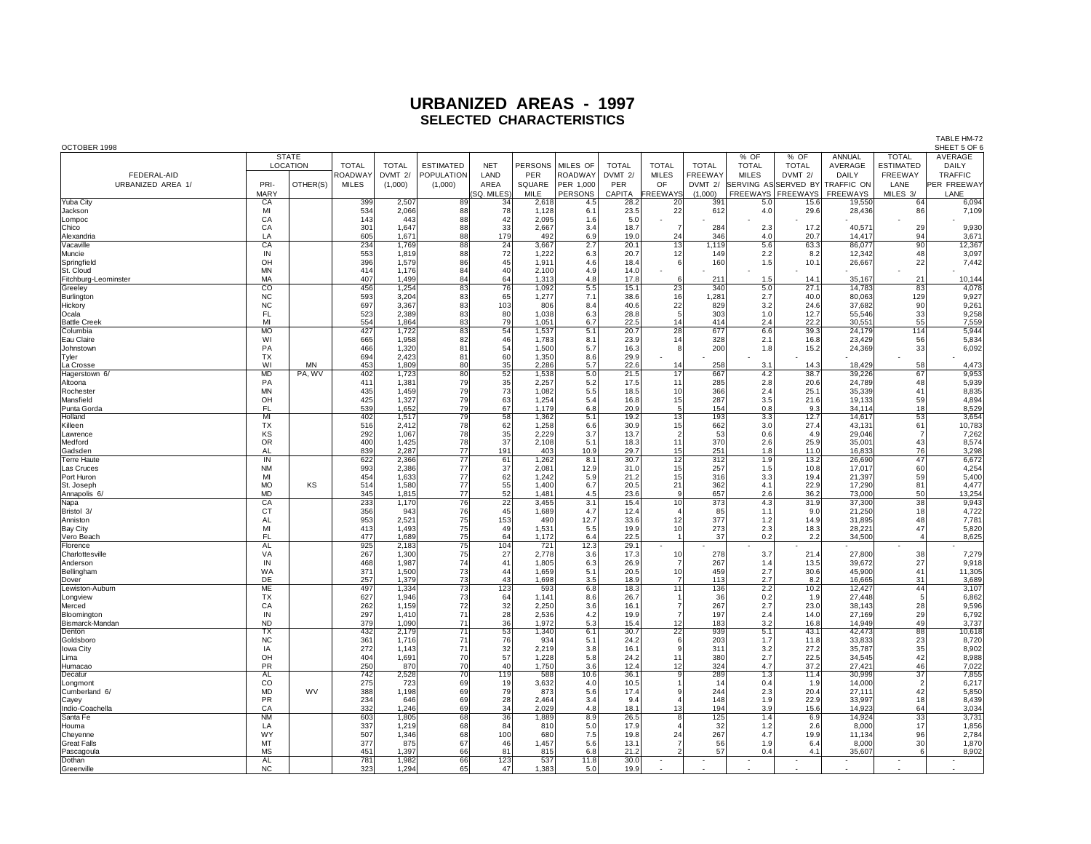| OCTOBER 1998         |                 |              |                |              |                  |                 |         |           |              |                 |              |                      |                 |            |                  | SHEET 5 OF 6 |
|----------------------|-----------------|--------------|----------------|--------------|------------------|-----------------|---------|-----------|--------------|-----------------|--------------|----------------------|-----------------|------------|------------------|--------------|
|                      |                 | <b>STATE</b> |                |              |                  |                 |         |           |              |                 |              | % OF                 | % OF            | ANNUAL     | <b>TOTAL</b>     | AVERAGE      |
|                      |                 | LOCATION     | <b>TOTAL</b>   | <b>TOTAL</b> | <b>ESTIMATED</b> | <b>NET</b>      | PERSONS | MILES OF  | <b>TOTAL</b> | <b>TOTAL</b>    | <b>TOTAL</b> | <b>TOTAL</b>         | <b>TOTAL</b>    | AVERAGE    | <b>ESTIMATED</b> | DAILY        |
| FEDERAL-AID          |                 |              | <b>ROADWAY</b> | DVMT 2/      | POPULATION       | LAND            | PER     | ROADWAY   | DVMT 2/      | <b>MILES</b>    | FREEWAY      | <b>MILES</b>         | DVMT 2/         | DAILY      | FREEWAY          | TRAFFIC      |
| URBANIZED AREA 1/    | PRI-            | OTHER(S)     | <b>MILES</b>   | (1,000)      | (1,000)          | AREA            | SQUARE  | PER 1,000 | PER          | OF              | DVMT 2/      | SERVING AS SERVED BY |                 | TRAFFIC ON | LANE             | PER FREEWAY  |
|                      | <b>MARY</b>     |              |                |              |                  | SQ. MILES)      | MILE    | PERSONS   | CAPITA       | <b>REEWAYS</b>  | (1,000)      | <b>FREEWAYS</b>      | <b>FREEWAYS</b> | FREEWAYS   | MILES 3/         | LANE         |
| Yuba City            | CA              |              | 399            | 2,507        | 89               | 34              | 2,618   | 4.5       | 28.2         | 20              | 391          | 5.0                  | 15.6            | 19,550     | 64               | 6,094        |
| Jackson              | MI              |              | 534            | 2,066        | 88               | 78              | 1,128   | 6.1       | 23.5         | 22              | 612          | 4.0                  | 29.6            | 28,436     | 86               | 7,109        |
| Lompoc               | CA              |              | 143            | 443          | 88               | 42              | 2,095   | 1.6       | 5.0          |                 |              |                      |                 |            |                  |              |
| Chico                | CA              |              | 301            | 1.647        | 88               | 33              | 2.667   | 3.4       | 18.7         | $\overline{7}$  | 284          | 2.3                  | 17.2            | 40.57      | 29               | 9,930        |
| Alexandria           | LA              |              | 605            | 1.671        | 88               | 179             | 492     | 6.9       | 19.0         | 24              | 346          | 4.0                  | 20.7            | 14.417     | 94               | 3,67'        |
| Vacaville            | CA              |              | 234            | 1,769        | 88               | 24              | 3,667   | 2.7       | 20.1         | 13              | 1,119        | 5.6                  | 63.3            | 86,077     | 90               | 12,367       |
| Muncie               | IN              |              | 553            | 1,819        | 88               | 72              | 1,222   | 6.3       | 20.7         | 12              | 149          | 2.2                  | 8.2             | 12,342     | 48               | 3,097        |
| Springfield          | OH              |              | 396            | 1,579        | 86               | 45              | 1,911   | 4.6       | 18.4         | 6               | 160          | 1.5                  | 10.1            | 26,667     | 22               | 7,442        |
| St. Cloud            | <b>MN</b>       |              | 414            | 1,176        | 84               | 40              | 2,100   | 4.9       | 14.0         |                 |              |                      |                 |            |                  |              |
|                      | MA              |              | 407            |              |                  |                 |         | 4.8       |              |                 |              |                      |                 |            | 21               |              |
| Fitchburg-Leominster |                 |              |                | 1,499        | 84               | 64              | 1,313   |           | 17.8         | 6               | 211          | 1.5                  | 14.1            | 35,167     |                  | 10,144       |
| Greeley              | CO              |              | 456            | 1,254        | 83               | 76              | 1,092   | 5.5       | 15.1         | 23              | 340          | 5.0                  | 27.1            | 14,783     | 83               | 4,078        |
| Burlington           | <b>NC</b>       |              | 593            | 3,204        | 83               | 65              | 1,277   | 7.1       | 38.6         | 16              | 1,281        | 2.7                  | 40.0            | 80,063     | 129              | 9,927        |
| Hickory              | <b>NC</b>       |              | 697            | 3.367        | 83               | 103             | 806     | 8.4       | 40.6         | 22              | 829          | 3.2                  | 24.6            | 37.682     | 90               | 9,261        |
| Ocala                | <b>FL</b>       |              | 523            | 2,389        | 83               | 80              | 1,038   | 6.3       | 28.8         | 5               | 303          | 1.0                  | 12.7            | 55,546     | 33               | 9,258        |
| <b>Battle Creek</b>  | MI              |              | 554            | 1,864        | 83               | 79              | 1,051   | 6.7       | 22.5         | 14              | 414          | 2.4                  | 22.2            | 30,551     | 55               | 7,559        |
| Columbia             | <b>MO</b>       |              | 427            | 1,722        | 83               | 54              | 1,537   | 5.1       | 20.7         | 28              | 677          | 6.6                  | 39.3            | 24,179     | 114              | 5,944        |
| Eau Claire           | WI              |              | 665            | 1,958        | 82               | 46              | 1,783   | 8.1       | 23.9         | 14              | 328          | 2.1                  | 16.8            | 23,429     | 56               | 5,834        |
| Johnstown            | PA              |              | 466            | 1,320        | 81               | 54              | 1,500   | 5.7       | 16.3         | 8               | 200          | 1.8                  | 15.2            | 24,369     | 33               | 6,092        |
| Tyler                | TX              |              | 694            | 2,423        | 81               | 60              | 1,350   | 8.6       | 29.9         |                 |              |                      |                 |            |                  |              |
| La Crosse            | WI              | <b>MN</b>    | 453            | 1,809        | 80               | 35              | 2,286   | 5.7       | 22.6         | 14              | 258          | 3.1                  | 14.3            | 18,429     | 58               | 4,473        |
| Hagerstown 6/        | MD              | PA, WV       | 402            | 1,723        | 80               | 52              | 1,538   | 5.0       | 21.5         | 17              | 667          | 4.2                  | 38.7            | 39,226     | 67               | 9,953        |
| Altoona              | PA              |              | 411            | 1,381        | 79               | 35              | 2,257   | 5.2       | 17.5         | 11              | 285          | 2.8                  | 20.6            | 24,789     | 48               | 5,939        |
| Rochester            | <b>MN</b>       |              | 435            | 1,459        | 79               | 73              | 1,082   | 5.5       | 18.5         | 10              | 366          | 2.4                  | 25.1            | 35,339     | 41               | 8,835        |
| Mansfield            | OH              |              | 425            | 1,327        | 79               | 63              | 1.254   | 5.4       | 16.8         | 15              | 287          | 3.5                  | 21.6            | 19.133     | 59               | 4,894        |
| Punta Gorda          | <b>FL</b>       |              | 539            | 1,652        | 79               | 67              | 1.179   | 6.8       | 20.9         | 5               | 154          | 0.8                  | 9.3             | 34.114     | 18               | 8,529        |
| Holland              | MI              |              | 402            | 1,517        | 79               | 58              | 1,362   | 5.1       | 19.2         | 13              | 193          | 3.3                  | 12.7            | 14,617     | 53               | 3,654        |
| Killeen              | TX              |              | 516            | 2,412        | 78               | 62              | 1,258   | 6.6       | 30.9         | 15              | 662          | 3.0                  | 27.4            | 43,131     | 61               | 10,783       |
| Lawrence             | KS              |              | 292            | 1,067        | 78               | 35              | 2,229   | 3.7       | 13.7         | $\vert$ 2       | 53           | 0.6                  | 4.9             | 29.046     | $\overline{7}$   | 7,262        |
| Medford              | <b>OR</b>       |              | 400            | 1,425        | 78               | 37              | 2,108   | 5.1       | 18.3         | 11              | 370          | 2.6                  | 25.9            | 35,001     | 43               | 8,574        |
| Gadsden              | <b>AL</b>       |              | 839            | 2,287        | 77               | 191             | 403     | 10.9      | 29.7         | 15              | 251          | 1.8                  | 11.0            | 16,833     | 76               | 3,298        |
| Terre Haute          | $\overline{1}N$ |              | 622            | 2,366        | $\overline{77}$  | 61              | 1,262   | 8.1       | 30.7         | 12              | 312          | 1.9                  | 13.2            | 26,690     | 47               | 6,672        |
| Las Cruces           | <b>NM</b>       |              | 993            | 2,386        | 77               | 37              | 2,081   | 12.9      | 31.0         | 15              | 257          | 1.5                  | 10.8            | 17,017     | 60               | 4,254        |
| Port Huron           | MI              |              | 454            | 1,633        | 77               | 62              | 1,242   | 5.9       | 21.2         | 15              | 316          | 3.3                  | 19.4            | 21,397     | 59               | 5,400        |
| St. Joseph           | <b>MO</b>       | KS           | 514            | 1,580        | 77               | 55              | 1,400   | 6.7       | 20.5         | 21              | 362          | 4.1                  | 22.9            | 17,290     | 81               | 4,477        |
| Annapolis 6/         | <b>MD</b>       |              | 345            | 1,815        | 77               | 52              | 1,481   | 4.5       | 23.6         | 9               | 657          | 2.6                  | 36.2            | 73,000     | 50               | 13,254       |
| Napa                 | CA              |              | 233            | 1,170        | 76               | $\overline{22}$ | 3.455   | 3.1       | 15.4         | 10              | 373          | 4.3                  | 31.9            | 37.300     | $\overline{38}$  | 9,943        |
| Bristol 3/           | СT              |              | 356            | 943          | 76               | 45              | 1,689   | 4.7       | 12.4         |                 | 85           | 1.1                  | 9.0             | 21,250     | 18               | 4,722        |
| Anniston             | AL              |              | 953            | 2,521        | 75               | 153             | 490     | 12.7      | 33.6         | 12              | 377          | 1.2                  | 14.9            | 31,895     | 48               | 7,781        |
| Bay City             | MI              |              | 413            | 1,493        | 75               | 49              | 1,531   | 5.5       | 19.9         | 10 <sup>1</sup> | 273          | 2.3                  | 18.3            | 28,221     | 47               | 5,820        |
| Vero Beach           | FL.             |              | 477            | 1,689        | 75               | 64              | 1,172   | 6.4       | 22.5         | $\overline{1}$  | 37           | 0.2                  | 2.2             | 34,500     | $\overline{a}$   | 8,625        |
| Florence             | AL              |              | 925            | 2,183        | 75               | 104             | 721     | 12.3      | 29.1         |                 |              |                      |                 |            |                  |              |
|                      | VA              |              | 267            | 1,300        | 75               | 27              | 2,778   | 3.6       | 17.3         |                 | 278          | 3.7                  | 21.4            | 27,800     | 38               | 7,279        |
| Charlottesville      | IN              |              | 468            | 1,987        | 74               | 41              | 1,805   | 6.3       | 26.9         | 10              | 267          | 1.4                  | 13.5            | 39,672     | 27               | 9,918        |
| Anderson             |                 |              | 371            |              |                  |                 |         |           |              |                 |              |                      |                 |            |                  |              |
| Bellingham           | <b>WA</b>       |              |                | 1,500        | 73               | 44              | 1.659   | 5.1       | 20.5         | 10              | 459          | 2.7                  | 30.6            | 45,900     | 41               | 11,305       |
| Dover                | DE              |              | 257            | 1,379        | 73               | 43              | 1,698   | 3.5       | 18.9         | $\overline{7}$  | 113          | 2.7                  | 8.2             | 16,665     | 31               | 3,689        |
| Lewiston-Auburn      | ME              |              | 497            | 1,334        | 73               | 123             | 593     | 6.8       | 18.3         | 11              | 136          | 2.2                  | 10.2            | 12,427     | 44               | 3,107        |
| Longview             | <b>TX</b>       |              | 627            | 1.946        | 73               | 64              | 1.141   | 8.6       | 26.7         |                 | 36           | 0.2                  | 1.9             | 27.448     | 5                | 6,862        |
| Merced               | CA              |              | 262            | 1,159        | 72               | 32              | 2,250   | 3.6       | 16.1         | $\overline{7}$  | 267          | 2.7                  | 23.0            | 38.143     | 28               | 9,596        |
| Bloomington          | IN              |              | 297            | 1,410        | 71               | 28              | 2,536   | 4.2       | 19.9         | $\overline{7}$  | 197          | 2.4                  | 14.0            | 27.169     | 29               | 6,792        |
| Bismarck-Mandan      | <b>ND</b>       |              | 379            | 1,090        | 71               | 36              | 1,972   | 5.3       | 15.4         | 12              | 183          | 3.2                  | 16.8            | 14,949     | 49               | 3,737        |
| Denton               | TX              |              | 432            | 2,179        | 71               | 53              | 1,340   | 6.1       | 30.7         | $\overline{22}$ | 939          | 5.1                  | 43.1            | 42,473     | 88               | 10,618       |
| Goldsbord            | NC              |              | 361            | 1,716        | 71               | 76              | 934     | 5.1       | 24.2         | 6               | 203          | 1.7                  | 11.8            | 33,833     | 23               | 8,720        |
| Iowa City            | IA              |              | 272            | 1,143        | 71               | 32              | 2,219   | 3.8       | 16.1         | 9               | 311          | 3.2                  | 27.2            | 35,787     | 35               | 8,902        |
| Lima                 | OH              |              | 404            | 1,691        | 70               | 57              | 1,228   | 5.8       | 24.2         | 11              | 380          | 2.7                  | 22.5            | 34,545     | 42               | 8,988        |
| Humacad              | <b>PR</b>       |              | 250            | 870          | 70               | 40              | 1,750   | 3.6       | 12.4         | 12              | 324          | 4.7                  | 37.2            | 27,421     | 46               | 7,022        |
| Decatur              | <b>AL</b>       |              | 742            | 2,528        | 70               | 119             | 588     | 10.6      | 36.1         | $_{9}$          | 289          | 1.3                  | 11.4            | 30,999     | $\overline{37}$  | 7,855        |
| Longmont             | CO              |              | 275            | 723          | 69               | 19              | 3,632   | 4.0       | 10.5         |                 | 14           | 0.4                  | 1.9             | 14,000     | $\overline{2}$   | 6,217        |
| Cumberland 6/        | MD              | <b>WV</b>    | 388            | 1,198        | 69               | 79              | 873     | 5.6       | 17.4         | 9               | 244          | 2.3                  | 20.4            | 27,111     | 42               | 5,850        |
| Cayey                | <b>PR</b>       |              | 234            | 646          | 69               | 28              | 2.464   | 3.4       | 9.4          |                 | 148          | 1.9                  | 22.9            | 33.997     | 18               | 8,439        |
| Indio-Coachella      | CA              |              | 332            | 1,246        | 69               | 34              | 2,029   | 4.8       | 18.1         | 13              | 194          | 3.9                  | 15.6            | 14,923     | 64               | 3,034        |
| Santa Fe             | <b>NM</b>       |              | 603            | 1,805        | 68               | 36              | 1,889   | 8.9       | 26.5         | 8               | 125          | 1.4                  | 6.9             | 14,924     | 33               | 3,731        |
| Houma                | LA              |              | 337            | 1,219        | 68               | 84              | 810     | 5.0       | 17.9         |                 | 32           | 1.2                  | 2.6             | 8,000      | 17               | 1,856        |
| Cheyenne             | WY              |              | 507            | 1,346        | 68               | 100             | 680     | 7.5       | 19.8         | 24              | 267          | 4.7                  | 19.9            | 11,134     | 96               | 2,784        |
| <b>Great Falls</b>   | MT              |              | 377            | 875          | 67               | 46              | 1,457   | 5.6       | 13.1         |                 | 56           | 1.9                  | 6.4             | 8,000      | 30               | 1,870        |
| Pascagoula           | <b>MS</b>       |              | 451            | 1,397        | 66               | 81              | 815     | 6.8       | 21.2         |                 | 57           | 0.4                  | 4.1             | 35,607     | 6                | 8,902        |
| Dothan               | <b>AL</b>       |              | 781            | 1,982        | 66               | 123             | 537     | 11.8      | 30.0         |                 |              |                      |                 |            |                  |              |
| Greenville           | <b>NC</b>       |              | 323            | 1.294        | 65               | 47              | 1.383   | 5.0       | 19.9         |                 |              |                      |                 |            |                  |              |